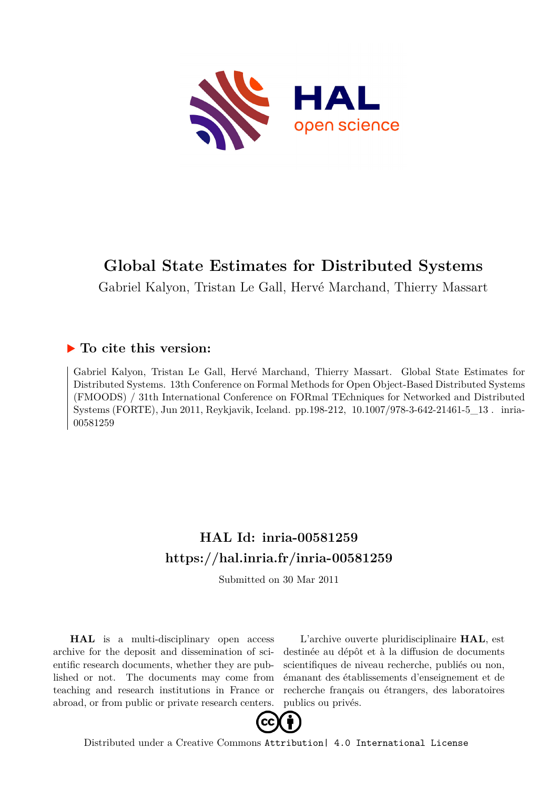

# **Global State Estimates for Distributed Systems**

Gabriel Kalyon, Tristan Le Gall, Hervé Marchand, Thierry Massart

# **To cite this version:**

Gabriel Kalyon, Tristan Le Gall, Hervé Marchand, Thierry Massart. Global State Estimates for Distributed Systems. 13th Conference on Formal Methods for Open Object-Based Distributed Systems (FMOODS) / 31th International Conference on FORmal TEchniques for Networked and Distributed Systems (FORTE), Jun 2011, Reykjavik, Iceland. pp.198-212, 10.1007/978-3-642-21461-5 13. inria-00581259ff

# **HAL Id: inria-00581259 <https://hal.inria.fr/inria-00581259>**

Submitted on 30 Mar 2011

**HAL** is a multi-disciplinary open access archive for the deposit and dissemination of scientific research documents, whether they are published or not. The documents may come from teaching and research institutions in France or abroad, or from public or private research centers.

L'archive ouverte pluridisciplinaire **HAL**, est destinée au dépôt et à la diffusion de documents scientifiques de niveau recherche, publiés ou non, émanant des établissements d'enseignement et de recherche français ou étrangers, des laboratoires publics ou privés.



Distributed under a Creative Commons [Attribution| 4.0 International License](http://creativecommons.org/licenses/by/4.0/)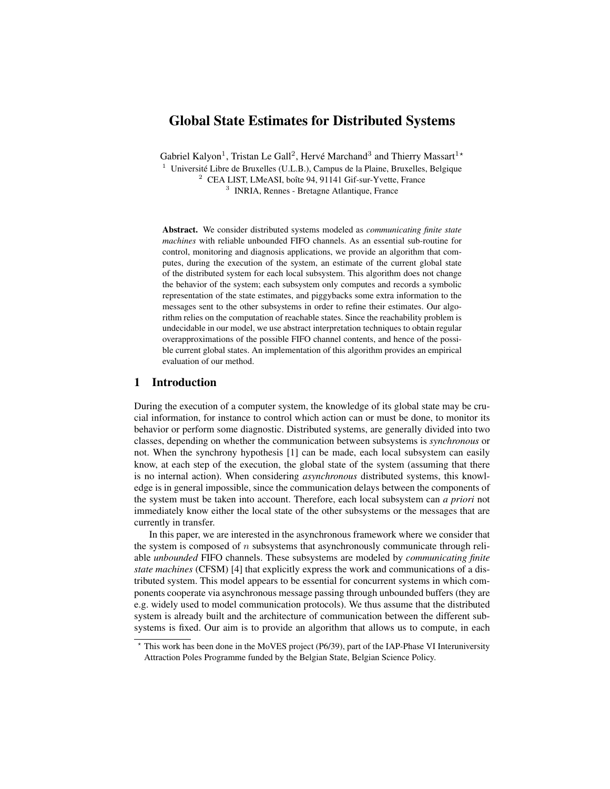## Global State Estimates for Distributed Systems

Gabriel Kalyon<sup>1</sup>, Tristan Le Gall<sup>2</sup>, Hervé Marchand<sup>3</sup> and Thierry Massart<sup>1\*</sup> <sup>1</sup> Universite Libre de Bruxelles (U.L.B.), Campus de la Plaine, Bruxelles, Belgique ´ <sup>2</sup> CEA LIST, LMeASI, boîte 94, 91141 Gif-sur-Yvette, France <sup>3</sup> INRIA, Rennes - Bretagne Atlantique, France

Abstract. We consider distributed systems modeled as *communicating finite state machines* with reliable unbounded FIFO channels. As an essential sub-routine for control, monitoring and diagnosis applications, we provide an algorithm that computes, during the execution of the system, an estimate of the current global state of the distributed system for each local subsystem. This algorithm does not change the behavior of the system; each subsystem only computes and records a symbolic representation of the state estimates, and piggybacks some extra information to the messages sent to the other subsystems in order to refine their estimates. Our algorithm relies on the computation of reachable states. Since the reachability problem is undecidable in our model, we use abstract interpretation techniques to obtain regular overapproximations of the possible FIFO channel contents, and hence of the possible current global states. An implementation of this algorithm provides an empirical evaluation of our method.

#### 1 Introduction

During the execution of a computer system, the knowledge of its global state may be crucial information, for instance to control which action can or must be done, to monitor its behavior or perform some diagnostic. Distributed systems, are generally divided into two classes, depending on whether the communication between subsystems is *synchronous* or not. When the synchrony hypothesis [1] can be made, each local subsystem can easily know, at each step of the execution, the global state of the system (assuming that there is no internal action). When considering *asynchronous* distributed systems, this knowledge is in general impossible, since the communication delays between the components of the system must be taken into account. Therefore, each local subsystem can *a priori* not immediately know either the local state of the other subsystems or the messages that are currently in transfer.

In this paper, we are interested in the asynchronous framework where we consider that the system is composed of  $n$  subsystems that asynchronously communicate through reliable *unbounded* FIFO channels. These subsystems are modeled by *communicating finite state machines* (CFSM) [4] that explicitly express the work and communications of a distributed system. This model appears to be essential for concurrent systems in which components cooperate via asynchronous message passing through unbounded buffers (they are e.g. widely used to model communication protocols). We thus assume that the distributed system is already built and the architecture of communication between the different subsystems is fixed. Our aim is to provide an algorithm that allows us to compute, in each

<sup>?</sup> This work has been done in the MoVES project (P6/39), part of the IAP-Phase VI Interuniversity Attraction Poles Programme funded by the Belgian State, Belgian Science Policy.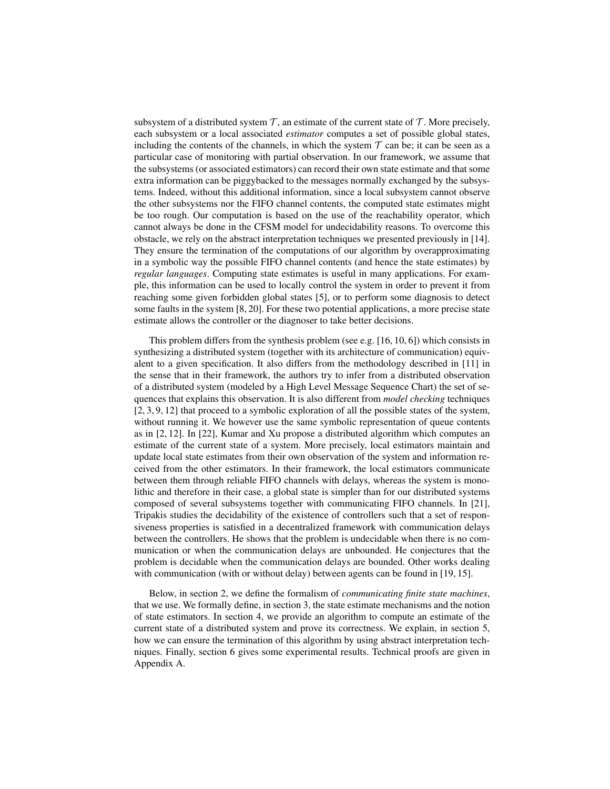subsystem of a distributed system  $\mathcal T$ , an estimate of the current state of  $\mathcal T$ . More precisely, each subsystem or a local associated *estimator* computes a set of possible global states, including the contents of the channels, in which the system  $\mathcal T$  can be; it can be seen as a particular case of monitoring with partial observation. In our framework, we assume that the subsystems (or associated estimators) can record their own state estimate and that some extra information can be piggybacked to the messages normally exchanged by the subsystems. Indeed, without this additional information, since a local subsystem cannot observe the other subsystems nor the FIFO channel contents, the computed state estimates might be too rough. Our computation is based on the use of the reachability operator, which cannot always be done in the CFSM model for undecidability reasons. To overcome this obstacle, we rely on the abstract interpretation techniques we presented previously in [14]. They ensure the termination of the computations of our algorithm by overapproximating in a symbolic way the possible FIFO channel contents (and hence the state estimates) by *regular languages*. Computing state estimates is useful in many applications. For example, this information can be used to locally control the system in order to prevent it from reaching some given forbidden global states [5], or to perform some diagnosis to detect some faults in the system [8, 20]. For these two potential applications, a more precise state estimate allows the controller or the diagnoser to take better decisions.

This problem differs from the synthesis problem (see e.g. [16, 10, 6]) which consists in synthesizing a distributed system (together with its architecture of communication) equivalent to a given specification. It also differs from the methodology described in [11] in the sense that in their framework, the authors try to infer from a distributed observation of a distributed system (modeled by a High Level Message Sequence Chart) the set of sequences that explains this observation. It is also different from *model checking* techniques [2, 3, 9, 12] that proceed to a symbolic exploration of all the possible states of the system, without running it. We however use the same symbolic representation of queue contents as in [2, 12]. In [22], Kumar and Xu propose a distributed algorithm which computes an estimate of the current state of a system. More precisely, local estimators maintain and update local state estimates from their own observation of the system and information received from the other estimators. In their framework, the local estimators communicate between them through reliable FIFO channels with delays, whereas the system is monolithic and therefore in their case, a global state is simpler than for our distributed systems composed of several subsystems together with communicating FIFO channels. In [21], Tripakis studies the decidability of the existence of controllers such that a set of responsiveness properties is satisfied in a decentralized framework with communication delays between the controllers. He shows that the problem is undecidable when there is no communication or when the communication delays are unbounded. He conjectures that the problem is decidable when the communication delays are bounded. Other works dealing with communication (with or without delay) between agents can be found in [19, 15].

Below, in section 2, we define the formalism of *communicating finite state machines*, that we use. We formally define, in section 3, the state estimate mechanisms and the notion of state estimators. In section 4, we provide an algorithm to compute an estimate of the current state of a distributed system and prove its correctness. We explain, in section 5, how we can ensure the termination of this algorithm by using abstract interpretation techniques. Finally, section 6 gives some experimental results. Technical proofs are given in Appendix A.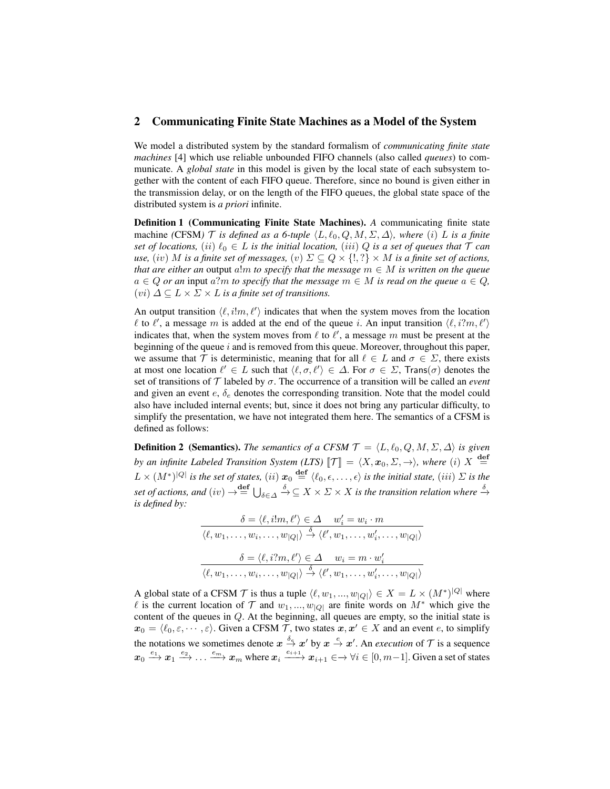#### 2 Communicating Finite State Machines as a Model of the System

We model a distributed system by the standard formalism of *communicating finite state machines* [4] which use reliable unbounded FIFO channels (also called *queues*) to communicate. A *global state* in this model is given by the local state of each subsystem together with the content of each FIFO queue. Therefore, since no bound is given either in the transmission delay, or on the length of the FIFO queues, the global state space of the distributed system is *a priori* infinite.

Definition 1 (Communicating Finite State Machines). *A* communicating finite state machine *(CFSM)*  $\mathcal T$  *is defined as a 6-tuple*  $\langle L, \ell_0, Q, M, \Sigma, \Delta \rangle$ *, where* (*i*) L *is a finite set of locations,* (ii)  $\ell_0 \in L$  *is the initial location,* (iii) Q *is a set of queues that*  $\mathcal T$  *can use,* (*iv*) *M is a finite set of messages,* (*v*)  $\Sigma \subseteq Q \times \{!,\} \times M$  *is a finite set of actions, that are either an* output a!m *to specify that the message*  $m \in M$  *is written on the queue*  $a \in Q$  *or an* input a?m to specify that the message  $m \in M$  is read on the queue  $a \in Q$ ,  $(vi)$  ∆ ⊆  $L \times \Sigma \times L$  *is a finite set of transitions.* 

An output transition  $\langle \ell, i | m, \ell' \rangle$  indicates that when the system moves from the location  $\ell$  to  $\ell'$ , a message m is added at the end of the queue i. An input transition  $\langle \ell, i?m, \ell' \rangle$ indicates that, when the system moves from  $\ell$  to  $\ell'$ , a message m must be present at the beginning of the queue  $i$  and is removed from this queue. Moreover, throughout this paper, we assume that T is deterministic, meaning that for all  $\ell \in L$  and  $\sigma \in \Sigma$ , there exists at most one location  $\ell' \in L$  such that  $\langle \ell, \sigma, \ell' \rangle \in \Delta$ . For  $\sigma \in \Sigma$ , Trans( $\sigma$ ) denotes the set of transitions of  $\mathcal T$  labeled by  $\sigma$ . The occurrence of a transition will be called an *event* and given an event  $e$ ,  $\delta_e$  denotes the corresponding transition. Note that the model could also have included internal events; but, since it does not bring any particular difficulty, to simplify the presentation, we have not integrated them here. The semantics of a CFSM is defined as follows:

**Definition 2** (Semantics). *The semantics of a CFSM*  $\mathcal{T} = \langle L, \ell_0, Q, M, \Sigma, \Delta \rangle$  *is given by an infinite Labeled Transition System (LTS)*  $[\![\mathcal{T}]\!] = \langle X, x_0, \Sigma, \rightarrow \rangle$ *, where* (i)  $X \stackrel{\text{def}}{=}$  $L \times (M^*)^{|Q|}$  is the set of states, (ii)  $x_0 \stackrel{\text{def}}{=} \langle \ell_0, \epsilon, \ldots, \epsilon \rangle$  is the initial state, (iii)  $\Sigma$  is the set of actions, and  $(iv) \rightarrow$   $\stackrel{\text{def}}{=} \bigcup_{\delta \in \Delta} \stackrel{\delta}{\rightarrow} \subseteq X \times \Sigma \times X$  is the transition relation where  $\stackrel{\delta}{\rightarrow}$ *is defined by:*

$$
\frac{\delta = \langle \ell, i | m, \ell' \rangle \in \Delta \quad w'_i = w_i \cdot m}{\langle \ell, w_1, \dots, w_i, \dots, w_{|Q|} \rangle \xrightarrow{\delta} \langle \ell', w_1, \dots, w'_i, \dots, w_{|Q|} \rangle}
$$

$$
\frac{\delta = \langle \ell, i \rangle m, \ell' \rangle \in \Delta \quad w_i = m \cdot w'_i}{\langle \ell, w_1, \dots, w_i, \dots, w_{|Q|} \rangle \xrightarrow{\delta} \langle \ell', w_1, \dots, w'_i, \dots, w_{|Q|} \rangle}
$$

A global state of a CFSM  $\mathcal T$  is thus a tuple  $\langle \ell, w_1, ..., w_{|Q|} \rangle \in X = L \times (M^*)^{|Q|}$  where  $\ell$  is the current location of  $\mathcal T$  and  $w_1, ..., w_{|Q|}$  are finite words on  $M^*$  which give the content of the queues in Q. At the beginning, all queues are empty, so the initial state is  $x_0 = \langle \ell_0, \varepsilon, \dots, \varepsilon \rangle$ . Given a CFSM  $\mathcal{T}$ , two states  $x, x' \in X$  and an event  $e$ , to simplify the notations we sometimes denote  $x \stackrel{\delta_e}{\to} x'$  by  $x \stackrel{e}{\to} x'$ . An *execution* of  $\mathcal T$  is a sequence  $x_0 \xrightarrow{e_1} x_1 \xrightarrow{e_2} \dots \xrightarrow{e_m} x_m$  where  $x_i \xrightarrow{e_{i+1}} x_{i+1} \in \rightarrow \forall i \in [0, m-1]$ . Given a set of states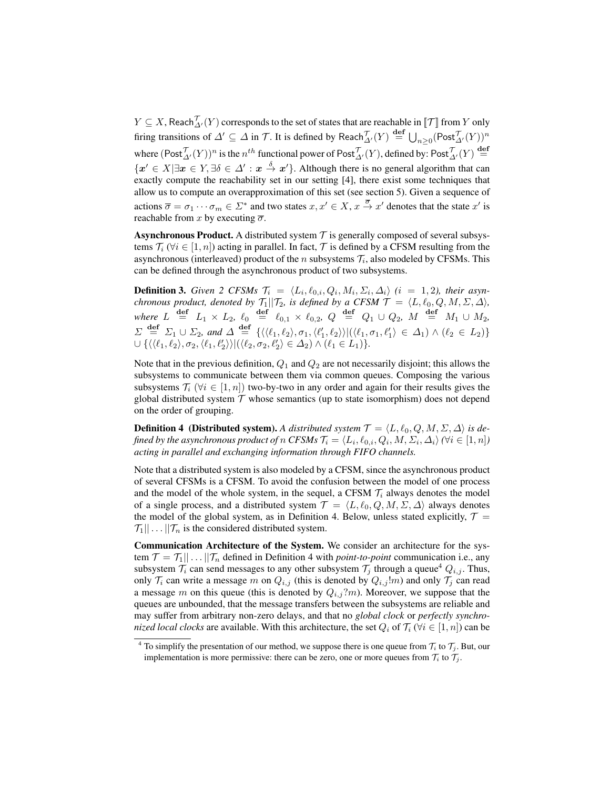$Y \subseteq X$ , Reach $\mathcal{I}_{\Delta'}(Y)$  corresponds to the set of states that are reachable in  $[\![\mathcal{T}]\!]$  from  $Y$  only firing transitions of  $\Delta' \subseteq \Delta$  in  $\mathcal{T}$ . It is defined by Reach $_{\Delta'}^{\mathcal{T}}(Y) \stackrel{\text{def}}{=} \bigcup_{n \geq 0} (\text{Post}_{\Delta'}^{\mathcal{T}}(Y))^n$ where  $(Post_{\Delta'}^{\mathcal{T}}(Y))^n$  is the  $n^{th}$  functional power of Post $_{\Delta'}^{\mathcal{T}}(Y)$ , defined by: Post $_{\Delta'}^{\mathcal{T}}(Y) \stackrel{\text{def}}{=}$  $\{x' \in X | \exists x \in Y, \exists \delta \in \Delta' : x \stackrel{\delta}{\to} x'\}.$  Although there is no general algorithm that can exactly compute the reachability set in our setting [4], there exist some techniques that allow us to compute an overapproximation of this set (see section 5). Given a sequence of actions  $\overline{\sigma} = \sigma_1 \cdots \sigma_m \in \Sigma^*$  and two states  $x, x' \in X$ ,  $x \stackrel{\overline{\sigma}}{\rightarrow} x'$  denotes that the state  $x'$  is reachable from x by executing  $\overline{\sigma}$ .

Asynchronous Product. A distributed system  $T$  is generally composed of several subsystems  $\mathcal{T}_i$  ( $\forall i \in [1, n]$ ) acting in parallel. In fact,  $\mathcal{T}$  is defined by a CFSM resulting from the asynchronous (interleaved) product of the *n* subsystems  $\mathcal{T}_i$ , also modeled by CFSMs. This can be defined through the asynchronous product of two subsystems.

**Definition 3.** Given 2 CFSMs  $\mathcal{T}_i = \langle L_i, \ell_{0,i}, Q_i, M_i, \Sigma_i, \Delta_i \rangle$   $(i = 1, 2)$ , their asyn*chronous product, denoted by*  $\mathcal{T}_1||\mathcal{T}_2$ *, is defined by a CFSM*  $\mathcal{T} = \langle L, \ell_0, Q, M, \Sigma, \Delta \rangle$ *,*  $\mathcal{W}$   $\mathcal{W}$   $\mathcal{W}$   $\mathcal{W}$   $\mathcal{W}$   $\mathcal{W}$   $\mathcal{W}$   $\mathcal{W}$   $\mathcal{W}$   $\mathcal{W}$   $\mathcal{W}$   $\mathcal{W}$   $\mathcal{W}$   $\mathcal{W}$   $\mathcal{W}$   $\mathcal{W}$   $\mathcal{W}$   $\mathcal{W}$   $\mathcal{W}$   $\mathcal{W}$   $\mathcal{W}$   $\mathcal{W}$   $\mathcal{W}$   $\mathcal{W}$   $\mathcal{$  $\Sigma \stackrel{\text{def}}{=} \Sigma_1 \cup \Sigma_2$ , and  $\Delta \stackrel{\text{def}}{=} {\{\langle \langle \ell_1, \ell_2 \rangle, \sigma_1, \langle \ell'_1, \ell_2 \rangle \rangle | (\langle \ell_1, \sigma_1, \ell'_1 \rangle \in \Delta_1) \land (\ell_2 \in L_2) \}}$  $\cup \{\langle \langle \ell_1, \ell_2 \rangle, \sigma_2, \langle \ell_1, \ell'_2 \rangle \rangle | (\langle \ell_2, \sigma_2, \ell'_2 \rangle \in \Delta_2) \land (\ell_1 \in L_1) \}.$ 

Note that in the previous definition,  $Q_1$  and  $Q_2$  are not necessarily disjoint; this allows the subsystems to communicate between them via common queues. Composing the various subsystems  $\mathcal{T}_i$  ( $\forall i \in [1, n]$ ) two-by-two in any order and again for their results gives the global distributed system  $\mathcal T$  whose semantics (up to state isomorphism) does not depend on the order of grouping.

**Definition 4** (Distributed system). A distributed system  $\mathcal{T} = \langle L, \ell_0, Q, M, \Sigma, \Delta \rangle$  is defined by the asynchronous product of  $n$  CFSMs  $\mathcal{T}_i = \langle L_i, \ell_{0,i}, Q_i, M, \Sigma_i, \Delta_i \rangle$   $(\forall i \in [1, n])$ *acting in parallel and exchanging information through FIFO channels.*

Note that a distributed system is also modeled by a CFSM, since the asynchronous product of several CFSMs is a CFSM. To avoid the confusion between the model of one process and the model of the whole system, in the sequel, a CFSM  $\mathcal{T}_i$  always denotes the model of a single process, and a distributed system  $\mathcal{T} = \langle L, \ell_0, Q, M, \Sigma, \Delta \rangle$  always denotes the model of the global system, as in Definition 4. Below, unless stated explicitly,  $T =$  $\mathcal{T}_1|| \dots ||\mathcal{T}_n$  is the considered distributed system.

Communication Architecture of the System. We consider an architecture for the system  $\mathcal{T} = \mathcal{T}_1 || \dots || \mathcal{T}_n$  defined in Definition 4 with *point-to-point* communication i.e., any subsystem  $\mathcal{T}_i$  can send messages to any other subsystem  $\mathcal{T}_j$  through a queue<sup>4</sup>  $Q_{i,j}$ . Thus, only  $\mathcal{T}_i$  can write a message m on  $Q_{i,j}$  (this is denoted by  $Q_{i,j}$ !m) and only  $\mathcal{T}_j$  can read a message m on this queue (this is denoted by  $Q_{i,j}$ ?m). Moreover, we suppose that the queues are unbounded, that the message transfers between the subsystems are reliable and may suffer from arbitrary non-zero delays, and that no *global clock* or *perfectly synchronized local clocks* are available. With this architecture, the set  $Q_i$  of  $\mathcal{T}_i$  ( $\forall i \in [1, n]$ ) can be

<sup>&</sup>lt;sup>4</sup> To simplify the presentation of our method, we suppose there is one queue from  $\mathcal{T}_i$  to  $\mathcal{T}_j$ . But, our implementation is more permissive: there can be zero, one or more queues from  $\mathcal{T}_i$  to  $\mathcal{T}_j$ .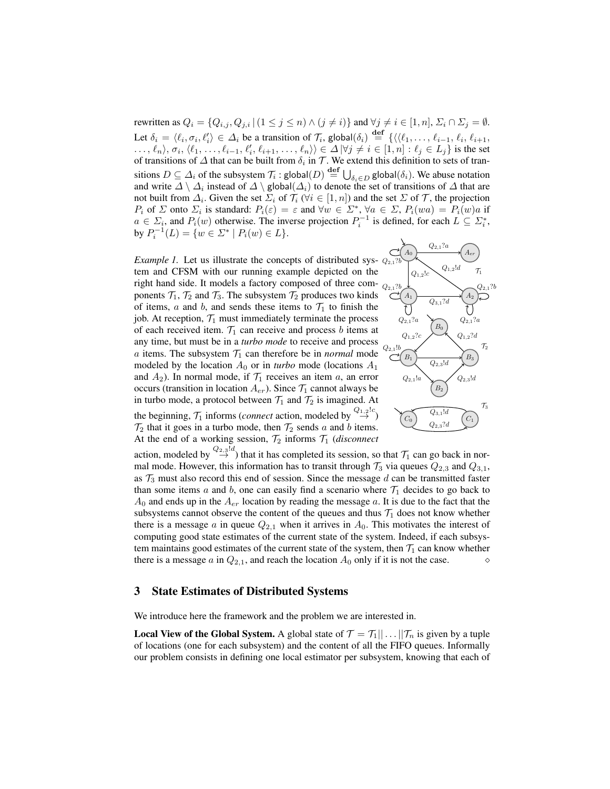rewritten as  $Q_i = \{Q_{i,j}, Q_{j,i} | (1 \leq j \leq n) \wedge (j \neq i)\}\$  and  $\forall j \neq i \in [1, n], \Sigma_i \cap \Sigma_j = \emptyset$ . Let  $\delta_i = \langle \ell_i, \sigma_i, \ell'_i \rangle \in \Delta_i$  be a transition of  $\mathcal{T}_i$ , global $(\delta_i) \stackrel{\text{def}}{=} {\{ \langle \langle \ell_1, \ldots, \ell_{i-1}, \ell_i, \ell_{i+1}, \ldots, \ell_i \rangle\}}$  $\langle \ldots, \ell_n \rangle$ ,  $\sigma_i, \langle \ell_1, \ldots, \ell_{i-1}, \ell'_i, \ell_{i+1}, \ldots, \ell_n \rangle \rangle \in \Delta | \forall j \neq i \in [1, n] : \ell_j \in L_j \}$  is the set of transitions of  $\Delta$  that can be built from  $\delta_i$  in  $\mathcal T$ . We extend this definition to sets of transitions  $D \subseteq \Delta_i$  of the subsystem  $\mathcal{T}_i$  : global $(D) \stackrel{\text{def}}{=} \bigcup_{\delta_i \in D}$  global $(\delta_i)$ . We abuse notation and write  $\Delta \setminus \Delta_i$  instead of  $\Delta \setminus \text{global}(\Delta_i)$  to denote the set of transitions of  $\Delta$  that are not built from  $\Delta_i$ . Given the set  $\Sigma_i$  of  $\mathcal{T}_i$  ( $\forall i \in [1, n]$ ) and the set  $\Sigma$  of  $\mathcal{T}$ , the projection  $P_i$  of  $\Sigma$  onto  $\Sigma_i$  is standard:  $P_i(\varepsilon) = \varepsilon$  and  $\forall w \in \Sigma^*$ ,  $\forall a \in \Sigma$ ,  $P_i(wa) = P_i(w)a$  if  $a \in \Sigma_i$ , and  $P_i(w)$  otherwise. The inverse projection  $P_i^{-1}$  is defined, for each  $L \subseteq \Sigma_i^*$ , by  $P_i^{-1}(L) = \{w \in \Sigma^* \mid P_i(w) \in L\}.$ 

right hand side. It models a factory composed of three com-  $Q_{2,1}$ ?b *Example 1.* Let us illustrate the concepts of distributed system and CFSM with our running example depicted on the ponents  $\mathcal{T}_1$ ,  $\mathcal{T}_2$  and  $\mathcal{T}_3$ . The subsystem  $\mathcal{T}_2$  produces two kinds of items, a and b, and sends these items to  $\mathcal{T}_1$  to finish the job. At reception,  $\mathcal{T}_1$  must immediately terminate the process of each received item.  $\mathcal{T}_1$  can receive and process b items at any time, but must be in a *turbo mode* to receive and process a items. The subsystem  $\mathcal{T}_1$  can therefore be in *normal* mode modeled by the location  $A_0$  or in *turbo* mode (locations  $A_1$ and  $A_2$ ). In normal mode, if  $\mathcal{T}_1$  receives an item a, an error occurs (transition in location  $A_{er}$ ). Since  $\mathcal{T}_1$  cannot always be in turbo mode, a protocol between  $\mathcal{T}_1$  and  $\mathcal{T}_2$  is imagined. At the beginning,  $\mathcal{T}_1$  informs (*connect* action, modeled by  $\overset{Q_{1,2}:c}{\rightarrow}$ )  $\mathcal{T}_2$  that it goes in a turbo mode, then  $\mathcal{T}_2$  sends a and b items.

At the end of a working session,  $\mathcal{T}_2$  informs  $\mathcal{T}_1$  (*disconnect* 



action, modeled by  $\stackrel{Q_{2,3}!d}{\rightarrow}$  that it has completed its session, so that  $\mathcal{T}_1$  can go back in normal mode. However, this information has to transit through  $\mathcal{T}_3$  via queues  $Q_{2,3}$  and  $Q_{3,1}$ , as  $\mathcal{T}_3$  must also record this end of session. Since the message d can be transmitted faster than some items a and b, one can easily find a scenario where  $\mathcal{T}_1$  decides to go back to  $A_0$  and ends up in the  $A_{er}$  location by reading the message a. It is due to the fact that the subsystems cannot observe the content of the queues and thus  $\mathcal{T}_1$  does not know whether there is a message a in queue  $Q_{2,1}$  when it arrives in  $A_0$ . This motivates the interest of computing good state estimates of the current state of the system. Indeed, if each subsystem maintains good estimates of the current state of the system, then  $\mathcal{T}_1$  can know whether<br>there is a message a in  $Q_{2,1}$ , and reach the location  $A_0$  only if it is not the case. there is a message a in  $Q_{2,1}$ , and reach the location  $A_0$  only if it is not the case.

### 3 State Estimates of Distributed Systems

We introduce here the framework and the problem we are interested in.

**Local View of the Global System.** A global state of  $\mathcal{T} = \mathcal{T}_1 || \dots || \mathcal{T}_n$  is given by a tuple of locations (one for each subsystem) and the content of all the FIFO queues. Informally our problem consists in defining one local estimator per subsystem, knowing that each of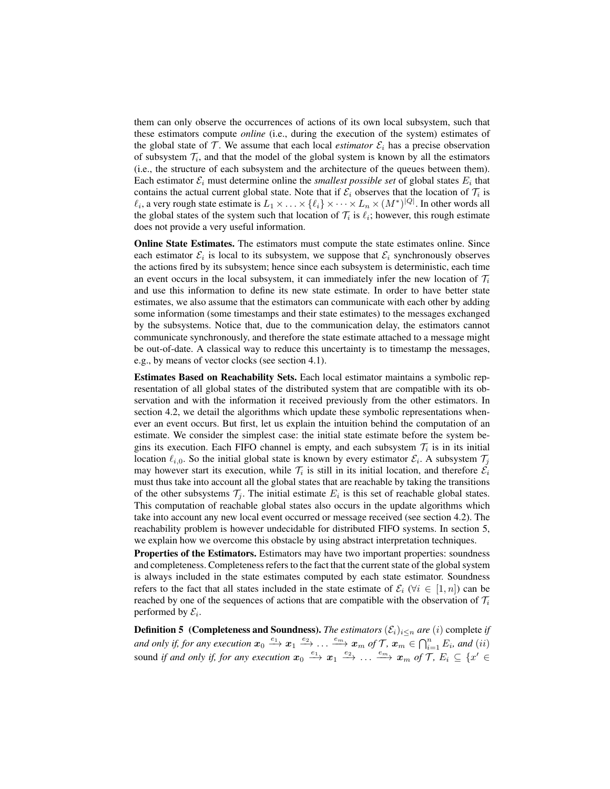them can only observe the occurrences of actions of its own local subsystem, such that these estimators compute *online* (i.e., during the execution of the system) estimates of the global state of  $\mathcal T$ . We assume that each local *estimator*  $\mathcal E_i$  has a precise observation of subsystem  $\mathcal{T}_i$ , and that the model of the global system is known by all the estimators (i.e., the structure of each subsystem and the architecture of the queues between them). Each estimator  $\mathcal{E}_i$  must determine online the *smallest possible set* of global states  $E_i$  that contains the actual current global state. Note that if  $\mathcal{E}_i$  observes that the location of  $\mathcal{T}_i$  is  $\ell_i$ , a very rough state estimate is  $L_1 \times \ldots \times \{\ell_i\} \times \cdots \times L_n \times (M^*)^{|Q|}$ . In other words all the global states of the system such that location of  $\mathcal{T}_i$  is  $\ell_i$ ; however, this rough estimate does not provide a very useful information.

Online State Estimates. The estimators must compute the state estimates online. Since each estimator  $\mathcal{E}_i$  is local to its subsystem, we suppose that  $\mathcal{E}_i$  synchronously observes the actions fired by its subsystem; hence since each subsystem is deterministic, each time an event occurs in the local subsystem, it can immediately infer the new location of  $\mathcal{T}_i$ and use this information to define its new state estimate. In order to have better state estimates, we also assume that the estimators can communicate with each other by adding some information (some timestamps and their state estimates) to the messages exchanged by the subsystems. Notice that, due to the communication delay, the estimators cannot communicate synchronously, and therefore the state estimate attached to a message might be out-of-date. A classical way to reduce this uncertainty is to timestamp the messages, e.g., by means of vector clocks (see section 4.1).

Estimates Based on Reachability Sets. Each local estimator maintains a symbolic representation of all global states of the distributed system that are compatible with its observation and with the information it received previously from the other estimators. In section 4.2, we detail the algorithms which update these symbolic representations whenever an event occurs. But first, let us explain the intuition behind the computation of an estimate. We consider the simplest case: the initial state estimate before the system begins its execution. Each FIFO channel is empty, and each subsystem  $\mathcal{T}_i$  is in its initial location  $\ell_{i,0}$ . So the initial global state is known by every estimator  $\mathcal{E}_i$ . A subsystem  $\mathcal{T}_j$ may however start its execution, while  $\mathcal{T}_i$  is still in its initial location, and therefore  $\mathcal{E}_i$ must thus take into account all the global states that are reachable by taking the transitions of the other subsystems  $\mathcal{T}_j$ . The initial estimate  $E_i$  is this set of reachable global states. This computation of reachable global states also occurs in the update algorithms which take into account any new local event occurred or message received (see section 4.2). The reachability problem is however undecidable for distributed FIFO systems. In section 5, we explain how we overcome this obstacle by using abstract interpretation techniques.

Properties of the Estimators. Estimators may have two important properties: soundness and completeness. Completeness refers to the fact that the current state of the global system is always included in the state estimates computed by each state estimator. Soundness refers to the fact that all states included in the state estimate of  $\mathcal{E}_i$  ( $\forall i \in [1, n]$ ) can be reached by one of the sequences of actions that are compatible with the observation of  $\mathcal{T}_i$ performed by  $\mathcal{E}_i$ .

**Definition 5** (Completeness and Soundness). *The estimators*  $(\mathcal{E}_i)_{i\leq n}$  *are* (*i*) complete *if and only if, for any execution*  $x_0 \stackrel{e_1}{\longrightarrow} x_1 \stackrel{e_2}{\longrightarrow} \dots \stackrel{e_m}{\longrightarrow} x_m$  of  $\mathcal{T}, x_m \in \bigcap_{i=1}^n E_i$ , and  $(ii)$ sound *if and only if, for any execution*  $x_0 \stackrel{e_1}{\longrightarrow} x_1 \stackrel{e_2}{\longrightarrow} \dots \stackrel{e_m}{\longrightarrow} x_m$  of  $\mathcal{T}$ ,  $E_i \subseteq \{x' \in$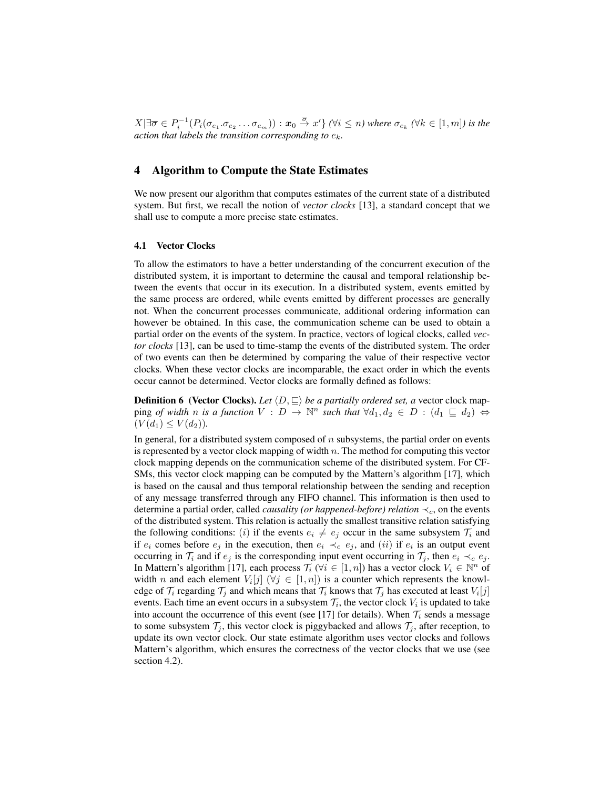$X|\exists \overline{\sigma} \in P_i^{-1}(P_i(\sigma_{e_1} \ldots \sigma_{e_n})) : x_0 \stackrel{\overline{\sigma}}{\rightarrow} x' \}$  ( $\forall i \leq n$ ) where  $\sigma_{e_k}$  ( $\forall k \in [1, m]$ ) is the *action that labels the transition corresponding to*  $e_k$ .

#### 4 Algorithm to Compute the State Estimates

We now present our algorithm that computes estimates of the current state of a distributed system. But first, we recall the notion of *vector clocks* [13], a standard concept that we shall use to compute a more precise state estimates.

#### 4.1 Vector Clocks

To allow the estimators to have a better understanding of the concurrent execution of the distributed system, it is important to determine the causal and temporal relationship between the events that occur in its execution. In a distributed system, events emitted by the same process are ordered, while events emitted by different processes are generally not. When the concurrent processes communicate, additional ordering information can however be obtained. In this case, the communication scheme can be used to obtain a partial order on the events of the system. In practice, vectors of logical clocks, called *vector clocks* [13], can be used to time-stamp the events of the distributed system. The order of two events can then be determined by comparing the value of their respective vector clocks. When these vector clocks are incomparable, the exact order in which the events occur cannot be determined. Vector clocks are formally defined as follows:

**Definition 6** (Vector Clocks). Let  $\langle D, \sqsubseteq \rangle$  be a partially ordered set, a vector clock mapping *of width* n is a function  $V: D \to \mathbb{N}^n$  such that  $\forall d_1, d_2 \in D: (d_1 \sqsubseteq d_2) \Leftrightarrow$  $(V(d_1) \leq V(d_2)).$ 

In general, for a distributed system composed of  $n$  subsystems, the partial order on events is represented by a vector clock mapping of width  $n$ . The method for computing this vector clock mapping depends on the communication scheme of the distributed system. For CF-SMs, this vector clock mapping can be computed by the Mattern's algorithm [17], which is based on the causal and thus temporal relationship between the sending and reception of any message transferred through any FIFO channel. This information is then used to determine a partial order, called *causality (or happened-before) relation*  $\prec_c$ , on the events of the distributed system. This relation is actually the smallest transitive relation satisfying the following conditions: (i) if the events  $e_i \neq e_j$  occur in the same subsystem  $\mathcal{T}_i$  and if  $e_i$  comes before  $e_j$  in the execution, then  $e_i \prec_c e_j$ , and  $(ii)$  if  $e_i$  is an output event occurring in  $\mathcal{T}_i$  and if  $e_j$  is the corresponding input event occurring in  $\mathcal{T}_i$ , then  $e_i \prec_c e_j$ . In Mattern's algorithm [17], each process  $\mathcal{T}_i$  ( $\forall i \in [1, n]$ ) has a vector clock  $V_i \in \mathbb{N}^n$  of width *n* and each element  $V_i[j]$  ( $\forall j \in [1, n]$ ) is a counter which represents the knowledge of  $\mathcal{T}_i$  regarding  $\mathcal{T}_j$  and which means that  $\mathcal{T}_i$  knows that  $\mathcal{T}_j$  has executed at least  $V_i[j]$ events. Each time an event occurs in a subsystem  $\mathcal{T}_i$ , the vector clock  $V_i$  is updated to take into account the occurrence of this event (see [17] for details). When  $\mathcal{T}_i$  sends a message to some subsystem  $\mathcal{T}_j$ , this vector clock is piggybacked and allows  $\mathcal{T}_j$ , after reception, to update its own vector clock. Our state estimate algorithm uses vector clocks and follows Mattern's algorithm, which ensures the correctness of the vector clocks that we use (see section 4.2).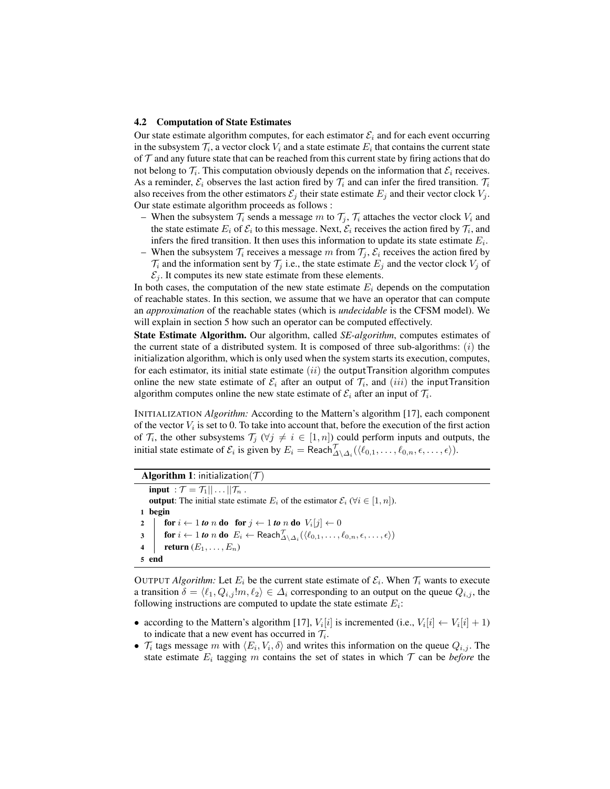#### 4.2 Computation of State Estimates

Our state estimate algorithm computes, for each estimator  $\mathcal{E}_i$  and for each event occurring in the subsystem  $\mathcal{T}_i$ , a vector clock  $V_i$  and a state estimate  $E_i$  that contains the current state of  $\mathcal T$  and any future state that can be reached from this current state by firing actions that do not belong to  $\mathcal{T}_i$ . This computation obviously depends on the information that  $\mathcal{E}_i$  receives. As a reminder,  $\mathcal{E}_i$  observes the last action fired by  $\mathcal{T}_i$  and can infer the fired transition.  $\mathcal{T}_i$ also receives from the other estimators  $\mathcal{E}_j$  their state estimate  $E_j$  and their vector clock  $V_j$ . Our state estimate algorithm proceeds as follows :

- When the subsystem  $\mathcal{T}_i$  sends a message m to  $\mathcal{T}_i$ ,  $\mathcal{T}_i$  attaches the vector clock  $V_i$  and the state estimate  $E_i$  of  $\mathcal{E}_i$  to this message. Next,  $\mathcal{E}_i$  receives the action fired by  $\mathcal{T}_i$ , and infers the fired transition. It then uses this information to update its state estimate  $E_i$ .
- When the subsystem  $\mathcal{T}_i$  receives a message m from  $\mathcal{T}_j$ ,  $\mathcal{E}_i$  receives the action fired by  $\mathcal{T}_i$  and the information sent by  $\mathcal{T}_i$  i.e., the state estimate  $E_i$  and the vector clock  $V_i$  of  $\mathcal{E}_j$ . It computes its new state estimate from these elements.

In both cases, the computation of the new state estimate  $E_i$  depends on the computation of reachable states. In this section, we assume that we have an operator that can compute an *approximation* of the reachable states (which is *undecidable* is the CFSM model). We will explain in section 5 how such an operator can be computed effectively.

State Estimate Algorithm. Our algorithm, called *SE-algorithm*, computes estimates of the current state of a distributed system. It is composed of three sub-algorithms:  $(i)$  the initialization algorithm, which is only used when the system starts its execution, computes, for each estimator, its initial state estimate  $(ii)$  the outputTransition algorithm computes online the new state estimate of  $\mathcal{E}_i$  after an output of  $\mathcal{T}_i$ , and  $(iii)$  the inputTransition algorithm computes online the new state estimate of  $\mathcal{E}_i$  after an input of  $\mathcal{T}_i$ .

INITIALIZATION *Algorithm:* According to the Mattern's algorithm [17], each component of the vector  $V_i$  is set to 0. To take into account that, before the execution of the first action of  $\mathcal{T}_i$ , the other subsystems  $\mathcal{T}_j$  ( $\forall j \neq i \in [1, n]$ ) could perform inputs and outputs, the initial state estimate of  $\mathcal{E}_i$  is given by  $E_i = \text{Reach}_{\Delta \setminus \Delta_i}^{\mathcal{T}}(\langle \ell_{0,1}, \ldots, \ell_{0,n}, \epsilon, \ldots, \epsilon \rangle)$ .

| <b>Algorithm 1:</b> initialization( $T$ )                                                                                                                                                                                                                                                   |
|---------------------------------------------------------------------------------------------------------------------------------------------------------------------------------------------------------------------------------------------------------------------------------------------|
| input : $\mathcal{T} = \mathcal{T}_1    \dots    \mathcal{T}_n$ .                                                                                                                                                                                                                           |
| <b>output:</b> The initial state estimate $E_i$ of the estimator $\mathcal{E}_i$ ( $\forall i \in [1, n]$ ).                                                                                                                                                                                |
| 1 begin                                                                                                                                                                                                                                                                                     |
|                                                                                                                                                                                                                                                                                             |
| 2<br><b>for</b> $i \leftarrow 1$ to <i>n</i> do for $j \leftarrow 1$ to <i>n</i> do $V_i[j] \leftarrow 0$<br><b>for</b> $i \leftarrow 1$ to <i>n</i> do $E_i \leftarrow$ Reach $\mathcal{T}_{\lambda \Delta_i}(\langle \ell_{0,1}, \ldots, \ell_{0,n}, \epsilon, \ldots, \epsilon \rangle)$ |
| return $(E_1, \ldots, E_n)$                                                                                                                                                                                                                                                                 |
| end                                                                                                                                                                                                                                                                                         |

OUTPUT *Algorithm:* Let  $E_i$  be the current state estimate of  $\mathcal{E}_i$ . When  $\mathcal{T}_i$  wants to execute a transition  $\delta = \langle \ell_1, Q_{i,j} | m, \ell_2 \rangle \in \Delta_i$  corresponding to an output on the queue  $Q_{i,j}$ , the following instructions are computed to update the state estimate  $E_i$ :

- according to the Mattern's algorithm [17],  $V_i[i]$  is incremented (i.e.,  $V_i[i] \leftarrow V_i[i] + 1$ ) to indicate that a new event has occurred in  $\mathcal{T}_i$ .
- $\mathcal{T}_i$  tags message m with  $\langle E_i, V_i, \delta \rangle$  and writes this information on the queue  $Q_{i,j}$ . The state estimate  $E_i$  tagging m contains the set of states in which  $T$  can be *before* the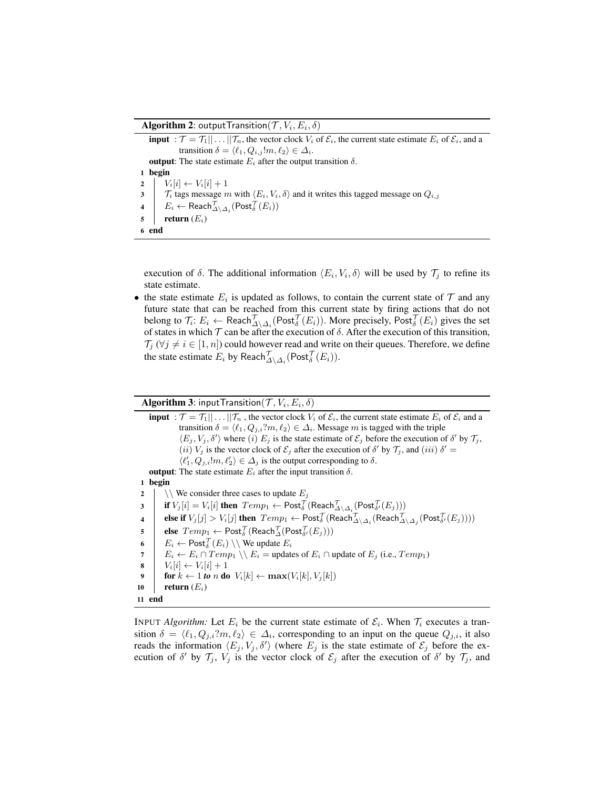**Algorithm 2:**  $\textsf{output}$  Transition $(\mathcal{T}, V_i, E_i, \delta)$ 

**input** :  $\mathcal{T} = \mathcal{T}_1 || \dots || \mathcal{T}_n$ , the vector clock  $V_i$  of  $\mathcal{E}_i$ , the current state estimate  $E_i$  of  $\mathcal{E}_i$ , and a transition  $\delta = \langle \ell_1, Q_{i,j} | m, \ell_2 \rangle \in \Delta_i$ . output: The state estimate  $E_i$  after the output transition  $\delta$ . 1 begin 2 |  $V_i[i] \leftarrow V_i[i] + 1$ 3  $\top$  T<sub>i</sub> tags message m with  $\langle E_i, V_i, \delta \rangle$  and it writes this tagged message on  $Q_{i,j}$  $\begin{array}{ccc} \textsf{4} & E_i \leftarrow \mathsf{Reach}^{\mathcal{T}}_{\varDelta \backslash \varDelta_i}(\mathsf{Post}^{\mathcal{T}}_{\delta}(E_i)) \end{array}$ 5 **return**  $(E_i)$ 6 end

execution of  $\delta$ . The additional information  $\langle E_i, V_i, \delta \rangle$  will be used by  $\mathcal{T}_j$  to refine its state estimate.

• the state estimate  $E_i$  is updated as follows, to contain the current state of  $\mathcal T$  and any future state that can be reached from this current state by firing actions that do not belong to  $\mathcal{T}_i$ :  $E_i \leftarrow \text{Reach}_{\Delta \setminus \Delta_i}^{\mathcal{T}}(\text{Post}_{\delta}^{\mathcal{T}}(E_i))$ . More precisely,  $\text{Post}_{\delta}^{\mathcal{T}}(E_i)$  gives the set of states in which  $\mathcal T$  can be after the execution of  $\delta$ . After the execution of this transition,  $\mathcal{T}_j$  ( $\forall j \neq i \in [1, n]$ ) could however read and write on their queues. Therefore, we define the state estimate  $E_i$  by Reach $\mathcal{T}_{\Delta \setminus \Delta_i}(\mathsf{Post}^{\mathcal{T}}_{\delta}(E_i)).$ 

# **Algorithm 3**: inputTransition $(\mathcal{T}, V_i, E_i, \delta)$

**input** :  $\mathcal{T} = \mathcal{T}_1 || \dots || \mathcal{T}_n$ , the vector clock  $V_i$  of  $\mathcal{E}_i$ , the current state estimate  $E_i$  of  $\mathcal{E}_i$  and a transition  $\delta = \langle \ell_1, Q_{j,i} \rangle^2 m, \ell_2 \rangle \in \Delta_i$ . Message m is tagged with the triple  $\langle E_j, V_j, \delta' \rangle$  where  $(i)$   $E_j$  is the state estimate of  $\mathcal{E}_j$  before the execution of  $\delta'$  by  $\mathcal{T}_j$ , (*ii*)  $V_j$  is the vector clock of  $\mathcal{E}_j$  after the execution of  $\delta'$  by  $\mathcal{T}_j$ , and (*iii*)  $\delta' =$  $\langle \ell'_1, Q_{j,i} | m, \ell'_2 \rangle \in \Delta_j$  is the output corresponding to  $\delta$ . output: The state estimate  $E_i$  after the input transition  $\delta$ . 1 begin 2  $\setminus$  We consider three cases to update  $E_j$  $\mathbf{B} \quad \quad \text{if } V_j[i] = V_i[i] \text{ then } \mathit{Temp}_1 \leftarrow \mathsf{Post}^{\mathcal{T}}_{\delta}(\mathsf{Reach}^{\mathcal{T}}_{\Delta_{\lambda} \Delta_i}(\mathsf{Post}^{\mathcal{T}}_{\delta'}(E_j)))$  $\textsf{false if } V_j[j] > V_i[j] \text{ then } Temp_1 \leftarrow \textsf{Post}^{\mathcal{T}}_{\delta}(\textsf{Reach}^{\mathcal{T}}_{\Delta \backslash \Delta_j}(\textsf{Reach}^{\mathcal{T}}_{\Delta \backslash \Delta_j}(\textsf{Post}^{\mathcal{T}}_{\delta'}(E_j))))$  $\mathsf{s} \quad \big| \quad \mathsf{else} \ \mathit{Temp}_1 \leftarrow \mathsf{Post}^\mathcal{T}_\delta(\mathsf{Reach}^\mathcal{T}_\Delta(\mathsf{Post}^\mathcal{T}_{\delta'}(E_j)))$ 6  $E_i \leftarrow \text{Post}_{\delta}^{\mathcal{T}}(E_i) \setminus \mathcal{N}$  we update  $E_i$ 7  $E_i \leftarrow E_i \cap Temp_1 \setminus E_i$  = updates of  $E_i \cap update$  of  $E_j$  (i.e.,  $Temp_1$ )  $\mathbf{8} \mid V_i[i] \leftarrow V_i[i] + 1$ 9 **for**  $k \leftarrow 1$  *to* n **do**  $V_i[k] \leftarrow \max(V_i[k], V_j[k])$ 10  $\vert$  return  $(E_i)$ 11 end

INPUT *Algorithm:* Let  $E_i$  be the current state estimate of  $\mathcal{E}_i$ . When  $\mathcal{T}_i$  executes a transition  $\delta = \langle \ell_1, Q_{j,i} \rangle^m, \ell_2 \rangle \in \Delta_i$ , corresponding to an input on the queue  $Q_{j,i}$ , it also reads the information  $\langle E_j, V_j, \delta' \rangle$  (where  $E_j$  is the state estimate of  $\mathcal{E}_j$  before the execution of  $\delta'$  by  $\mathcal{T}_j$ ,  $V_j$  is the vector clock of  $\mathcal{E}_j$  after the execution of  $\delta'$  by  $\mathcal{T}_j$ , and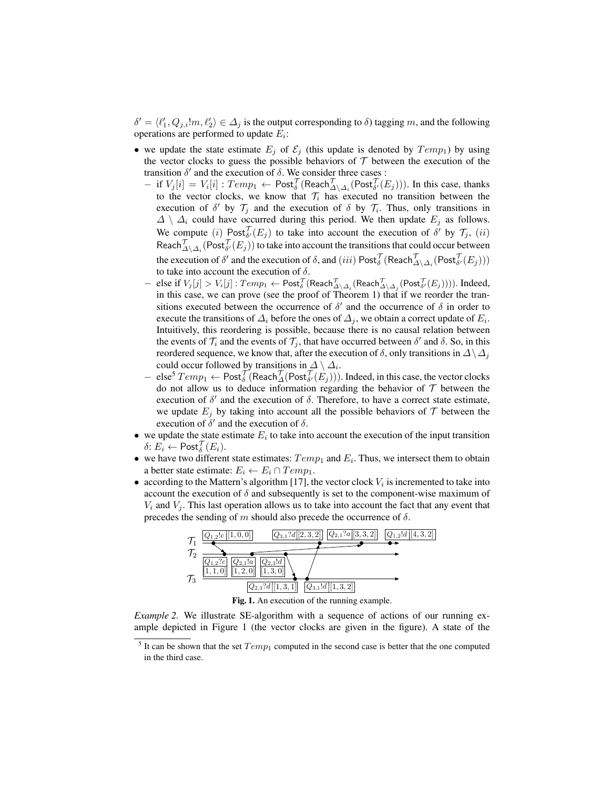$\delta' = \langle \ell'_1, Q_{j,i} | m, \ell'_2 \rangle \in \Delta_j$  is the output corresponding to  $\delta$ ) tagging m, and the following operations are performed to update  $E_i$ :

- we update the state estimate  $E_j$  of  $\mathcal{E}_j$  (this update is denoted by  $Temp_1$ ) by using the vector clocks to guess the possible behaviors of  $T$  between the execution of the transition  $\delta'$  and the execution of  $\delta$ . We consider three cases :
	- $-$  if  $V_j[i] = V_i[i]$ :  $Temp_1 \leftarrow Post_{\delta}^{\mathcal{T}}(Reach_{\Delta \setminus \Delta_i}^{\mathcal{T}}(Post_{\delta'}^{\mathcal{T}}(E_j)))$ . In this case, thanks to the vector clocks, we know that  $\mathcal{T}_i$  has executed no transition between the execution of  $\delta'$  by  $\mathcal{T}_j$  and the execution of  $\delta$  by  $\mathcal{T}_i$ . Thus, only transitions in  $\Delta \setminus \Delta_i$  could have occurred during this period. We then update  $E_i$  as follows. We compute (i)  $\text{Post}_{\delta'}^{\mathcal{T}}(E_j)$  to take into account the execution of  $\delta'$  by  $\mathcal{T}_j$ , (ii) Reach $\frac{\mathcal{T}}{\Delta \setminus \Delta_i}$  (Post $\frac{\mathcal{T}}{\delta'}(E_j)$ ) to take into account the transitions that could occur between the execution of  $\delta'$  and the execution of  $\delta$ , and  $(iii)$  Post $_{\delta}^{\mathcal{T}}$  (Reach $_{\Delta\setminus\Delta_i}^{\mathcal{T}}$  (Post $_{\delta'}^{\mathcal{T}}(E_j)$ )) to take into account the execution of  $\delta$ .
	- $-$  else if  $V_j[j] > V_i[j]$  :  $Temp_1 \leftarrow Post^{\mathcal{T}}_{\delta}(\textsf{Reach}^{\mathcal{T}}_{\Delta \setminus \Delta_i}(\textsf{Reach}^{\mathcal{T}}_{\Delta \setminus \Delta_j}(\textsf{Post}^{\mathcal{T}}_{\delta'}(E_j))))$ . Indeed, in this case, we can prove (see the proof of Theorem 1) that if we reorder the transitions executed between the occurrence of  $\delta'$  and the occurrence of  $\delta$  in order to execute the transitions of  $\varDelta_i$  before the ones of  $\varDelta_j,$  we obtain a correct update of  $E_i.$ Intuitively, this reordering is possible, because there is no causal relation between the events of  $\mathcal{T}_i$  and the events of  $\mathcal{T}_j$ , that have occurred between  $\delta'$  and  $\delta$ . So, in this reordered sequence, we know that, after the execution of  $\delta$ , only transitions in  $\Delta \backslash \Delta_i$ could occur followed by transitions in  $\Delta \setminus \Delta_i$ .
	- $-$  else<sup>5</sup>  $Temp_1 \leftarrow Post_{\delta}^{\mathcal{T}}(Reach_{\Delta}^{\mathcal{T}}(Post_{\delta'}^{\mathcal{T}}(E_j)))$ . Indeed, in this case, the vector clocks do not allow us to deduce information regarding the behavior of  $\mathcal T$  between the execution of  $\delta'$  and the execution of  $\delta$ . Therefore, to have a correct state estimate, we update  $E_i$  by taking into account all the possible behaviors of  $\mathcal T$  between the execution of  $\delta'$  and the execution of  $\delta$ .
- we update the state estimate  $E_i$  to take into account the execution of the input transition  $\delta: E_i \leftarrow \mathsf{Post}^{\mathcal{T}}_{\delta}(E_i).$
- we have two different state estimates:  $Temp_1$  and  $E_i$ . Thus, we intersect them to obtain a better state estimate:  $E_i \leftarrow E_i \cap Temp_1$ .
- according to the Mattern's algorithm [17], the vector clock  $V_i$  is incremented to take into account the execution of  $\delta$  and subsequently is set to the component-wise maximum of  $V_i$  and  $V_j$ . This last operation allows us to take into account the fact that any event that precedes the sending of m should also precede the occurrence of  $\delta$ .



Fig. 1. An execution of the running example.

*Example 2.* We illustrate SE-algorithm with a sequence of actions of our running example depicted in Figure 1 (the vector clocks are given in the figure). A state of the

<sup>&</sup>lt;sup>5</sup> It can be shown that the set  $Temp_1$  computed in the second case is better that the one computed in the third case.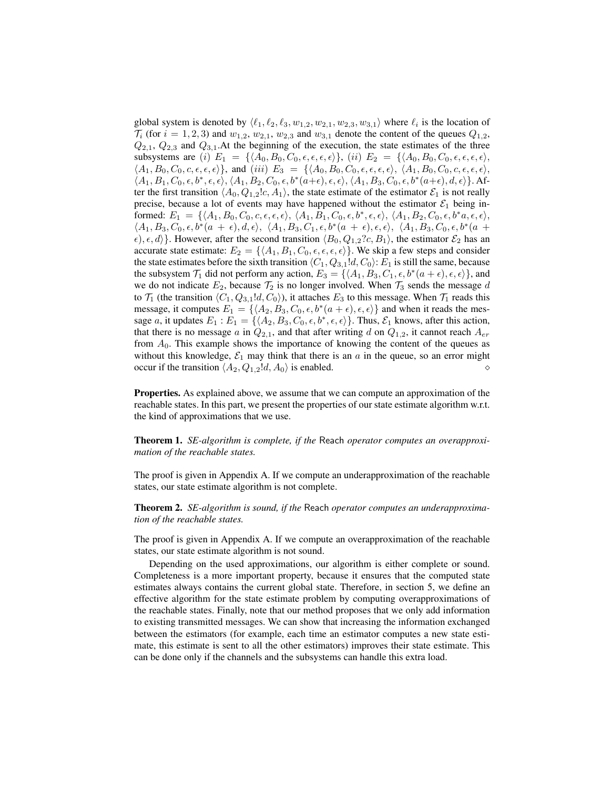global system is denoted by  $\langle \ell_1, \ell_2, \ell_3, w_{1,2}, w_{2,1}, w_{2,3}, w_{3,1} \rangle$  where  $\ell_i$  is the location of  $\mathcal{T}_i$  (for  $i = 1, 2, 3$ ) and  $w_{1,2}$ ,  $w_{2,1}$ ,  $w_{2,3}$  and  $w_{3,1}$  denote the content of the queues  $Q_{1,2}$ ,  $Q_{2,1}$ ,  $Q_{2,3}$  and  $Q_{3,1}$ . At the beginning of the execution, the state estimates of the three subsystems are (i)  $E_1 = \{ \langle A_0, B_0, C_0, \epsilon, \epsilon, \epsilon \rangle \},$  (ii)  $E_2 = \{ \langle A_0, B_0, C_0, \epsilon, \epsilon, \epsilon, \epsilon \rangle \}$  $\{(A_1, B_0, C_0, c, \epsilon, \epsilon, \epsilon)\}\$ , and  $(iii)$   $E_3 = \{(A_0, B_0, C_0, \epsilon, \epsilon, \epsilon, \epsilon), \ (A_1, B_0, C_0, c, \epsilon, \epsilon, \epsilon, \epsilon)\}\$  $\langle A_1, B_1, C_0, \epsilon, b^*, \epsilon, \epsilon \rangle, \langle A_1, B_2, C_0, \epsilon, b^*(a+\epsilon), \epsilon, \epsilon \rangle, \langle A_1, B_3, C_0, \epsilon, b^*(a+\epsilon), d, \epsilon \rangle\}.$  After the first transition  $\langle A_0, Q_{1,2}:c, A_1 \rangle$ , the state estimate of the estimator  $\mathcal{E}_1$  is not really precise, because a lot of events may have happened without the estimator  $\mathcal{E}_1$  being informed:  $E_1 = \{ \langle A_1, B_0, C_0, c, \epsilon, \epsilon, \epsilon \rangle, \langle A_1, B_1, C_0, \epsilon, b^*, \epsilon, \epsilon \rangle, \langle A_1, B_2, C_0, \epsilon, b^* a, \epsilon, \epsilon \rangle,$  $\langle A_1, B_3, C_0, \epsilon, b^*(a + \epsilon), d, \epsilon \rangle$ ,  $\langle A_1, B_3, C_1, \epsilon, b^*(a + \epsilon), \epsilon, \epsilon \rangle$ ,  $\langle A_1, B_3, C_0, \epsilon, b^*(a + \epsilon), A_1, B_2, C_1, \epsilon, \epsilon \rangle$  $\{\epsilon, \epsilon, d\}$ . However, after the second transition  $\langle B_0, Q_{1,2}$ ?c,  $B_1\rangle$ , the estimator  $\mathcal{E}_2$  has an accurate state estimate:  $E_2 = \{ \langle A_1, B_1, C_0, \epsilon, \epsilon, \epsilon \rangle \}$ . We skip a few steps and consider the state estimates before the sixth transition  $\langle C_1, Q_{3,1}!d, C_0 \rangle$ :  $E_1$  is still the same, because the subsystem  $\mathcal{T}_1$  did not perform any action,  $E_3 = \{ \langle A_1, B_3, C_1, \epsilon, b^*(a + \epsilon), \epsilon, \epsilon \rangle \}$ , and we do not indicate  $E_2$ , because  $\mathcal{T}_2$  is no longer involved. When  $\mathcal{T}_3$  sends the message d to  $\mathcal{T}_1$  (the transition  $\langle C_1, Q_{3,1} \, d, C_0 \rangle$ ), it attaches  $E_3$  to this message. When  $\mathcal{T}_1$  reads this message, it computes  $E_1 = \{ (A_2, B_3, C_0, \epsilon, b^*(a + \epsilon), \epsilon, \epsilon) \}$  and when it reads the message a, it updates  $E_1: E_1 = \{ (A_2, B_3, C_0, \epsilon, b^*, \epsilon, \epsilon) \}.$  Thus,  $\mathcal{E}_1$  knows, after this action, that there is no message a in  $Q_{2,1}$ , and that after writing d on  $Q_{1,2}$ , it cannot reach  $A_{er}$ from  $A_0$ . This example shows the importance of knowing the content of the queues as without this knowledge,  $\mathcal{E}_1$  may think that there is an  $a$  in the queue, so an error might occur if the transition  $\langle A_2, Q_{1,2} \, d, A_0 \rangle$  is enabled.

Properties. As explained above, we assume that we can compute an approximation of the reachable states. In this part, we present the properties of our state estimate algorithm w.r.t. the kind of approximations that we use.

Theorem 1. *SE-algorithm is complete, if the* Reach *operator computes an overapproximation of the reachable states.*

The proof is given in Appendix A. If we compute an underapproximation of the reachable states, our state estimate algorithm is not complete.

Theorem 2. *SE-algorithm is sound, if the* Reach *operator computes an underapproximation of the reachable states.*

The proof is given in Appendix A. If we compute an overapproximation of the reachable states, our state estimate algorithm is not sound.

Depending on the used approximations, our algorithm is either complete or sound. Completeness is a more important property, because it ensures that the computed state estimates always contains the current global state. Therefore, in section 5, we define an effective algorithm for the state estimate problem by computing overapproximations of the reachable states. Finally, note that our method proposes that we only add information to existing transmitted messages. We can show that increasing the information exchanged between the estimators (for example, each time an estimator computes a new state estimate, this estimate is sent to all the other estimators) improves their state estimate. This can be done only if the channels and the subsystems can handle this extra load.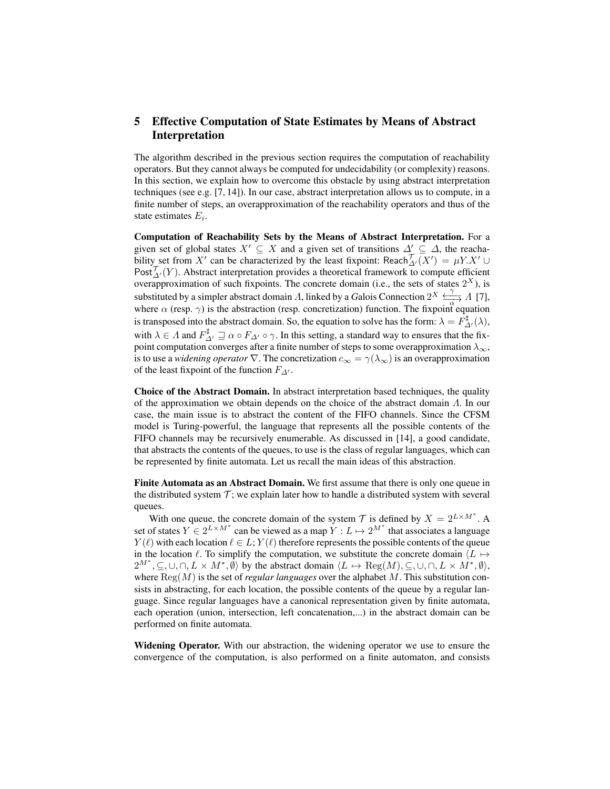## 5 Effective Computation of State Estimates by Means of Abstract Interpretation

The algorithm described in the previous section requires the computation of reachability operators. But they cannot always be computed for undecidability (or complexity) reasons. In this section, we explain how to overcome this obstacle by using abstract interpretation techniques (see e.g. [7, 14]). In our case, abstract interpretation allows us to compute, in a finite number of steps, an overapproximation of the reachability operators and thus of the state estimates  $E_i$ .

Computation of Reachability Sets by the Means of Abstract Interpretation. For a given set of global states  $X' \subseteq X$  and a given set of transitions  $\Delta' \subseteq \Delta$ , the reachability set from X' can be characterized by the least fixpoint: Reach $\mathcal{I}_{\Delta'}(X') = \mu Y.X' \cup$ Post $\mathcal{I}_{\Delta'}(Y)$ . Abstract interpretation provides a theoretical framework to compute efficient overapproximation of such fixpoints. The concrete domain (i.e., the sets of states  $2^X$ ), is substituted by a simpler abstract domain Λ, linked by a *Galois Connection*  $2^X \xrightarrow{\gamma} A$  [7], where  $\alpha$  (resp.  $\gamma$ ) is the abstraction (resp. concretization) function. The fixpoint equation is transposed into the abstract domain. So, the equation to solve has the form:  $\lambda = F_{\Delta'}^{\sharp}(\lambda)$ , with  $\lambda \in \Lambda$  and  $F_{\Delta'}^{\sharp} \sqsupseteq \alpha \circ F_{\Delta'} \circ \gamma$ . In this setting, a standard way to ensures that the fixpoint computation converges after a finite number of steps to some overapproximation  $\lambda_\infty,$ is to use a *widening operator*  $\nabla$ . The concretization  $c_{\infty} = \gamma(\lambda_{\infty})$  is an overapproximation of the least fixpoint of the function  $F_{\Delta}$ .

Choice of the Abstract Domain. In abstract interpretation based techniques, the quality of the approximation we obtain depends on the choice of the abstract domain Λ. In our case, the main issue is to abstract the content of the FIFO channels. Since the CFSM model is Turing-powerful, the language that represents all the possible contents of the FIFO channels may be recursively enumerable. As discussed in [14], a good candidate, that abstracts the contents of the queues, to use is the class of regular languages, which can be represented by finite automata. Let us recall the main ideas of this abstraction.

Finite Automata as an Abstract Domain. We first assume that there is only one queue in the distributed system  $\mathcal{T}$ ; we explain later how to handle a distributed system with several queues.

With one queue, the concrete domain of the system  $\mathcal{T}$  is defined by  $X = 2^{L \times M^*}$ . A set of states  $Y \in 2^{L \times M^*}$  can be viewed as a map  $Y : L \mapsto 2^{M^*}$  that associates a language  $Y(\ell)$  with each location  $\ell \in L; Y(\ell)$  therefore represents the possible contents of the queue in the location  $\ell$ . To simplify the computation, we substitute the concrete domain  $\langle L \mapsto$  $2^{M^*}, \subseteq, \cup, \cap, L \times M^*, \emptyset$  by the abstract domain  $\langle L \mapsto \text{Reg}(M), \subseteq, \cup, \cap, L \times M^*, \emptyset \rangle$ , where Reg(M) is the set of *regular languages* over the alphabet M. This substitution consists in abstracting, for each location, the possible contents of the queue by a regular language. Since regular languages have a canonical representation given by finite automata, each operation (union, intersection, left concatenation,...) in the abstract domain can be performed on finite automata.

Widening Operator. With our abstraction, the widening operator we use to ensure the convergence of the computation, is also performed on a finite automaton, and consists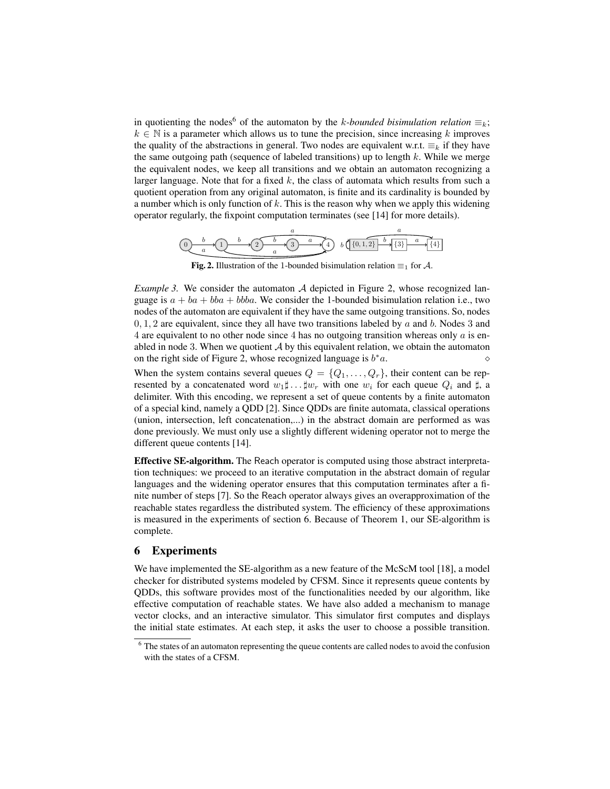in quotienting the nodes<sup>6</sup> of the automaton by the k-bounded bisimulation relation  $\equiv_k$ ;  $k \in \mathbb{N}$  is a parameter which allows us to tune the precision, since increasing k improves the quality of the abstractions in general. Two nodes are equivalent w.r.t.  $\equiv_k$  if they have the same outgoing path (sequence of labeled transitions) up to length  $k$ . While we merge the equivalent nodes, we keep all transitions and we obtain an automaton recognizing a larger language. Note that for a fixed  $k$ , the class of automata which results from such a quotient operation from any original automaton, is finite and its cardinality is bounded by a number which is only function of  $k$ . This is the reason why when we apply this widening operator regularly, the fixpoint computation terminates (see [14] for more details).



**Fig. 2.** Illustration of the 1-bounded bisimulation relation  $\equiv_1$  for A.

*Example 3.* We consider the automaton A depicted in Figure 2, whose recognized language is  $a + ba + bba + bba$ . We consider the 1-bounded bisimulation relation i.e., two nodes of the automaton are equivalent if they have the same outgoing transitions. So, nodes  $0, 1, 2$  are equivalent, since they all have two transitions labeled by a and b. Nodes 3 and 4 are equivalent to no other node since 4 has no outgoing transition whereas only  $\alpha$  is enabled in node 3. When we quotient A by this equivalent relation, we obtain the automaton on the right side of Figure 2, whose recognized language is  $b^*a$ . on the right side of Figure 2, whose recognized language is  $b^*a$ .  $^*a.$ 

When the system contains several queues  $Q = \{Q_1, \ldots, Q_r\}$ , their content can be represented by a concatenated word  $w_1 \sharp \dots \sharp w_r$  with one  $w_i$  for each queue  $Q_i$  and  $\sharp$ , a delimiter. With this encoding, we represent a set of queue contents by a finite automaton of a special kind, namely a QDD [2]. Since QDDs are finite automata, classical operations (union, intersection, left concatenation,...) in the abstract domain are performed as was done previously. We must only use a slightly different widening operator not to merge the different queue contents [14].

Effective SE-algorithm. The Reach operator is computed using those abstract interpretation techniques: we proceed to an iterative computation in the abstract domain of regular languages and the widening operator ensures that this computation terminates after a finite number of steps [7]. So the Reach operator always gives an overapproximation of the reachable states regardless the distributed system. The efficiency of these approximations is measured in the experiments of section 6. Because of Theorem 1, our SE-algorithm is complete.

#### 6 Experiments

We have implemented the SE-algorithm as a new feature of the McScM tool [18], a model checker for distributed systems modeled by CFSM. Since it represents queue contents by QDDs, this software provides most of the functionalities needed by our algorithm, like effective computation of reachable states. We have also added a mechanism to manage vector clocks, and an interactive simulator. This simulator first computes and displays the initial state estimates. At each step, it asks the user to choose a possible transition.

 $6$  The states of an automaton representing the queue contents are called nodes to avoid the confusion with the states of a CFSM.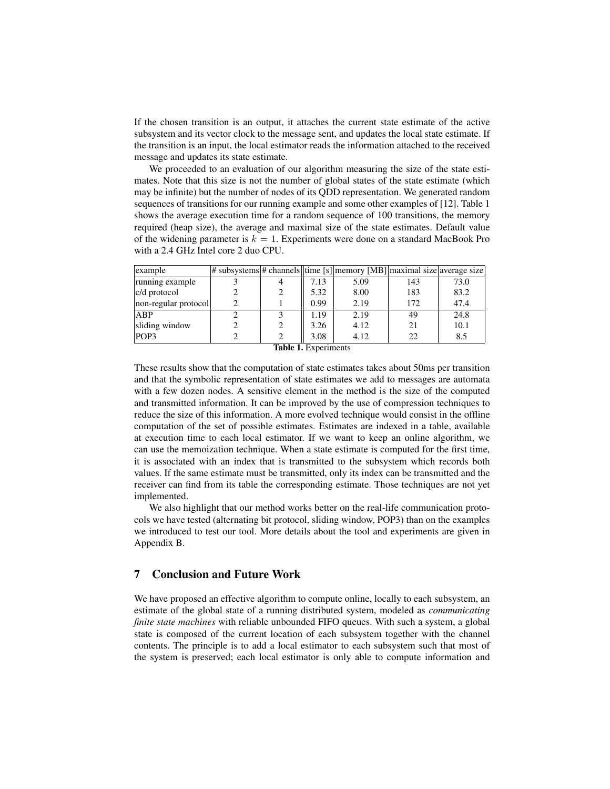If the chosen transition is an output, it attaches the current state estimate of the active subsystem and its vector clock to the message sent, and updates the local state estimate. If the transition is an input, the local estimator reads the information attached to the received message and updates its state estimate.

We proceeded to an evaluation of our algorithm measuring the size of the state estimates. Note that this size is not the number of global states of the state estimate (which may be infinite) but the number of nodes of its QDD representation. We generated random sequences of transitions for our running example and some other examples of [12]. Table 1 shows the average execution time for a random sequence of 100 transitions, the memory required (heap size), the average and maximal size of the state estimates. Default value of the widening parameter is  $k = 1$ . Experiments were done on a standard MacBook Pro with a 2.4 GHz Intel core 2 duo CPU.

| example              |  |                    | # subsystems  # channels    time [s]   memory [MB]   maximal size   average size |     |      |
|----------------------|--|--------------------|----------------------------------------------------------------------------------|-----|------|
| running example      |  | 7.13               | 5.09                                                                             | 143 | 73.0 |
| c/d protocol         |  | 5.32               | 8.00                                                                             | 183 | 83.2 |
| non-regular protocol |  | 0.99               | 2.19                                                                             | 172 | 47.4 |
| ABP                  |  | 1.19               | 2.19                                                                             | 49  | 24.8 |
| sliding window       |  | 3.26               | 4.12                                                                             | 21  | 10.1 |
| POP3                 |  | 3.08<br>$T = 11.1$ | 4.12                                                                             | 22  | 8.5  |

Table 1. Experiments

These results show that the computation of state estimates takes about 50ms per transition and that the symbolic representation of state estimates we add to messages are automata with a few dozen nodes. A sensitive element in the method is the size of the computed and transmitted information. It can be improved by the use of compression techniques to reduce the size of this information. A more evolved technique would consist in the offline computation of the set of possible estimates. Estimates are indexed in a table, available at execution time to each local estimator. If we want to keep an online algorithm, we can use the memoization technique. When a state estimate is computed for the first time, it is associated with an index that is transmitted to the subsystem which records both values. If the same estimate must be transmitted, only its index can be transmitted and the receiver can find from its table the corresponding estimate. Those techniques are not yet implemented.

We also highlight that our method works better on the real-life communication protocols we have tested (alternating bit protocol, sliding window, POP3) than on the examples we introduced to test our tool. More details about the tool and experiments are given in Appendix B.

## 7 Conclusion and Future Work

We have proposed an effective algorithm to compute online, locally to each subsystem, an estimate of the global state of a running distributed system, modeled as *communicating finite state machines* with reliable unbounded FIFO queues. With such a system, a global state is composed of the current location of each subsystem together with the channel contents. The principle is to add a local estimator to each subsystem such that most of the system is preserved; each local estimator is only able to compute information and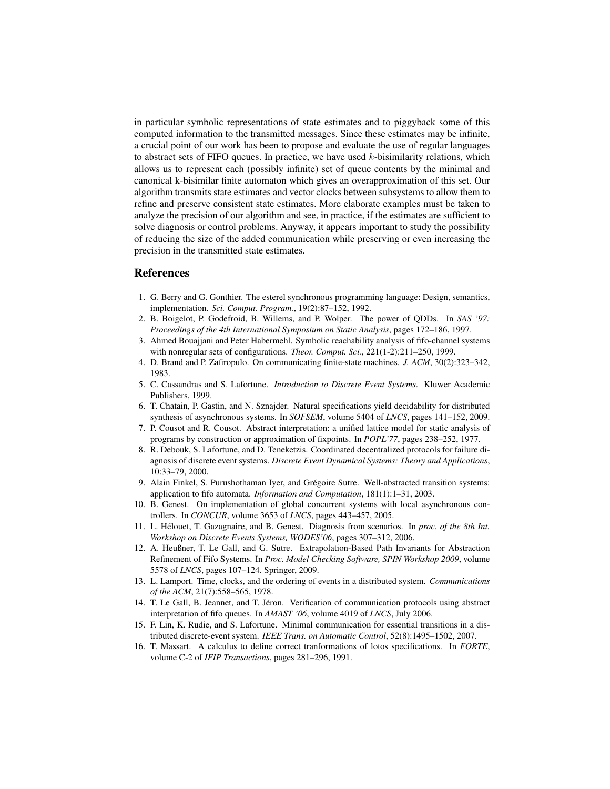in particular symbolic representations of state estimates and to piggyback some of this computed information to the transmitted messages. Since these estimates may be infinite, a crucial point of our work has been to propose and evaluate the use of regular languages to abstract sets of FIFO queues. In practice, we have used  $k$ -bisimilarity relations, which allows us to represent each (possibly infinite) set of queue contents by the minimal and canonical k-bisimilar finite automaton which gives an overapproximation of this set. Our algorithm transmits state estimates and vector clocks between subsystems to allow them to refine and preserve consistent state estimates. More elaborate examples must be taken to analyze the precision of our algorithm and see, in practice, if the estimates are sufficient to solve diagnosis or control problems. Anyway, it appears important to study the possibility of reducing the size of the added communication while preserving or even increasing the precision in the transmitted state estimates.

#### References

- 1. G. Berry and G. Gonthier. The esterel synchronous programming language: Design, semantics, implementation. *Sci. Comput. Program.*, 19(2):87–152, 1992.
- 2. B. Boigelot, P. Godefroid, B. Willems, and P. Wolper. The power of QDDs. In *SAS '97: Proceedings of the 4th International Symposium on Static Analysis*, pages 172–186, 1997.
- 3. Ahmed Bouajjani and Peter Habermehl. Symbolic reachability analysis of fifo-channel systems with nonregular sets of configurations. *Theor. Comput. Sci.*, 221(1-2):211–250, 1999.
- 4. D. Brand and P. Zafiropulo. On communicating finite-state machines. *J. ACM*, 30(2):323–342, 1983.
- 5. C. Cassandras and S. Lafortune. *Introduction to Discrete Event Systems*. Kluwer Academic Publishers, 1999.
- 6. T. Chatain, P. Gastin, and N. Sznajder. Natural specifications yield decidability for distributed synthesis of asynchronous systems. In *SOFSEM*, volume 5404 of *LNCS*, pages 141–152, 2009.
- 7. P. Cousot and R. Cousot. Abstract interpretation: a unified lattice model for static analysis of programs by construction or approximation of fixpoints. In *POPL'77*, pages 238–252, 1977.
- 8. R. Debouk, S. Lafortune, and D. Teneketzis. Coordinated decentralized protocols for failure diagnosis of discrete event systems. *Discrete Event Dynamical Systems: Theory and Applications*, 10:33–79, 2000.
- 9. Alain Finkel, S. Purushothaman Iyer, and Gregoire Sutre. Well-abstracted transition systems: ´ application to fifo automata. *Information and Computation*, 181(1):1–31, 2003.
- 10. B. Genest. On implementation of global concurrent systems with local asynchronous controllers. In *CONCUR*, volume 3653 of *LNCS*, pages 443–457, 2005.
- 11. L. Helouet, T. Gazagnaire, and B. Genest. Diagnosis from scenarios. In ´ *proc. of the 8th Int. Workshop on Discrete Events Systems, WODES'06*, pages 307–312, 2006.
- 12. A. Heußner, T. Le Gall, and G. Sutre. Extrapolation-Based Path Invariants for Abstraction Refinement of Fifo Systems. In *Proc. Model Checking Software, SPIN Workshop 2009*, volume 5578 of *LNCS*, pages 107–124. Springer, 2009.
- 13. L. Lamport. Time, clocks, and the ordering of events in a distributed system. *Communications of the ACM*, 21(7):558–565, 1978.
- 14. T. Le Gall, B. Jeannet, and T. Jéron. Verification of communication protocols using abstract interpretation of fifo queues. In *AMAST '06*, volume 4019 of *LNCS*, July 2006.
- 15. F. Lin, K. Rudie, and S. Lafortune. Minimal communication for essential transitions in a distributed discrete-event system. *IEEE Trans. on Automatic Control*, 52(8):1495–1502, 2007.
- 16. T. Massart. A calculus to define correct tranformations of lotos specifications. In *FORTE*, volume C-2 of *IFIP Transactions*, pages 281–296, 1991.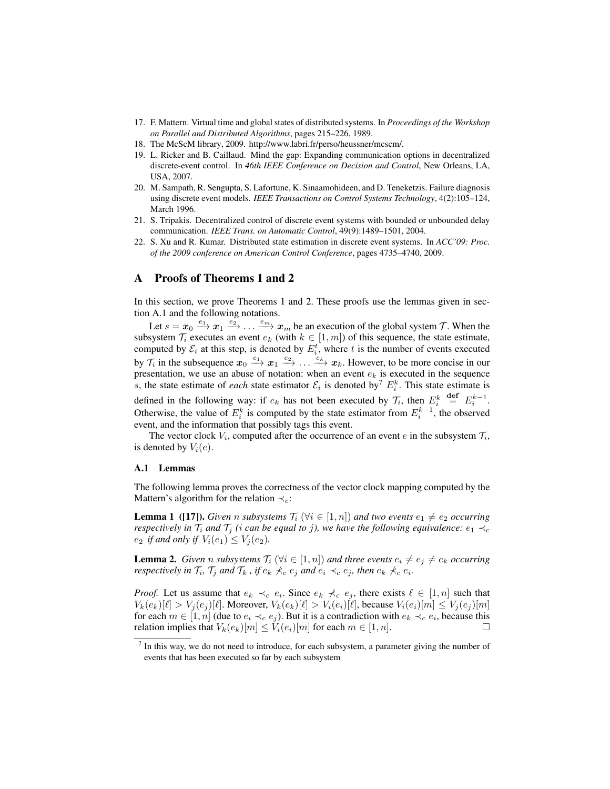- 17. F. Mattern. Virtual time and global states of distributed systems. In *Proceedings of the Workshop on Parallel and Distributed Algorithms*, pages 215–226, 1989.
- 18. The McScM library, 2009. http://www.labri.fr/perso/heussner/mcscm/.
- 19. L. Ricker and B. Caillaud. Mind the gap: Expanding communication options in decentralized discrete-event control. In *46th IEEE Conference on Decision and Control*, New Orleans, LA, USA, 2007.
- 20. M. Sampath, R. Sengupta, S. Lafortune, K. Sinaamohideen, and D. Teneketzis. Failure diagnosis using discrete event models. *IEEE Transactions on Control Systems Technology*, 4(2):105–124, March 1996.
- 21. S. Tripakis. Decentralized control of discrete event systems with bounded or unbounded delay communication. *IEEE Trans. on Automatic Control*, 49(9):1489–1501, 2004.
- 22. S. Xu and R. Kumar. Distributed state estimation in discrete event systems. In *ACC'09: Proc. of the 2009 conference on American Control Conference*, pages 4735–4740, 2009.

#### A Proofs of Theorems 1 and 2

In this section, we prove Theorems 1 and 2. These proofs use the lemmas given in section A.1 and the following notations.

Let  $s = x_0 \xrightarrow{e_1} x_1 \xrightarrow{e_2} \dots \xrightarrow{e_m} x_m$  be an execution of the global system  $\mathcal{T}$ . When the subsystem  $\mathcal{T}_i$  executes an event  $e_k$  (with  $k \in [1, m]$ ) of this sequence, the state estimate, computed by  $\mathcal{E}_i$  at this step, is denoted by  $E_i^t$ , where t is the number of events executed by  $\mathcal{T}_i$  in the subsequence  $x_0 \stackrel{e_1}{\longrightarrow} x_1 \stackrel{e_2}{\longrightarrow} \ldots \stackrel{e_k}{\longrightarrow} x_k$ . However, to be more concise in our presentation, we use an abuse of notation: when an event  $e_k$  is executed in the sequence s, the state estimate of *each* state estimator  $\mathcal{E}_i$  is denoted by<sup>7</sup>  $E_i^k$ . This state estimate is defined in the following way: if  $e_k$  has not been executed by  $\mathcal{T}_i$ , then  $E_i^k \stackrel{\text{def}}{=} E_i^{k-1}$ . Otherwise, the value of  $E_i^k$  is computed by the state estimator from  $E_i^{k-1}$ , the observed event, and the information that possibly tags this event.

The vector clock  $V_i$ , computed after the occurrence of an event e in the subsystem  $\mathcal{T}_i$ , is denoted by  $V_i(e)$ .

#### A.1 Lemmas

The following lemma proves the correctness of the vector clock mapping computed by the Mattern's algorithm for the relation  $\prec_c$ :

**Lemma 1** ([17]). *Given n subsystems*  $\mathcal{T}_i$  ( $\forall i \in [1, n]$ ) *and two events*  $e_1 \neq e_2$  *occurring respectively in*  $\mathcal{T}_i$  *and*  $\mathcal{T}_j$  *(i can be equal to j), we have the following equivalence:*  $e_1 \prec_c$  $e_2$  *if and only if*  $V_i(e_1) \leq V_j(e_2)$ .

**Lemma 2.** *Given n subsystems*  $\mathcal{T}_i$  ( $\forall i \in [1, n]$ ) *and three events*  $e_i \neq e_j \neq e_k$  *occurring respectively in*  $\mathcal{T}_i$ ,  $\mathcal{T}_j$  *and*  $\mathcal{T}_k$  *, if*  $e_k \nprec_c e_j$  *and*  $e_i \prec_c e_j$ *, then*  $e_k \nprec_c e_i$ *.* 

*Proof.* Let us assume that  $e_k \prec_c e_i$ . Since  $e_k \nprec_c e_j$ , there exists  $\ell \in [1, n]$  such that  $V_k(e_k)[\ell] > V_i(e_i)[\ell]$ . Moreover,  $V_k(e_k)[\ell] > V_i(e_i)[\ell]$ , because  $V_i(e_i)[m] \leq V_i(e_i)[m]$ for each  $m \in [1, n]$  (due to  $e_i \prec_c e_j$ ). But it is a contradiction with  $e_k \prec_c e_i$ , because this relation implies that  $V_k(e_k)[m] \leq V_i(e_i)[m]$  for each  $m \in [1, n]$ .

 $<sup>7</sup>$  In this way, we do not need to introduce, for each subsystem, a parameter giving the number of</sup> events that has been executed so far by each subsystem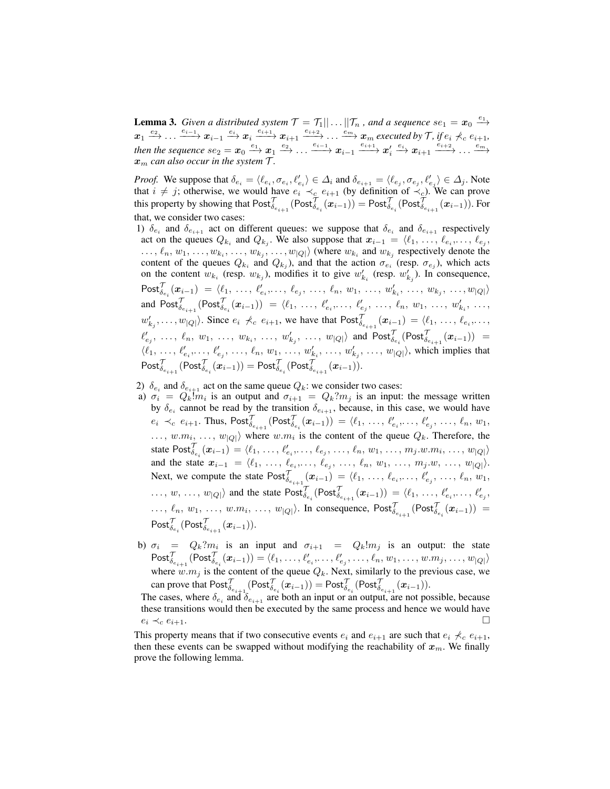**Lemma 3.** *Given a distributed system*  $\mathcal{T} = \mathcal{T}_1 || \dots || \mathcal{T}_n$ , and a sequence  $se_1 = x_0 \xrightarrow{e_1}$  $\pmb{x}_1 \stackrel{e_2}{\longrightarrow} \ldots \stackrel{e_{i-1}}{\longrightarrow} \pmb{x}_{i-1} \stackrel{e_i}{\longrightarrow} \pmb{x}_i \stackrel{e_{i+1}}{\longrightarrow} \pmb{x}_{i+1} \stackrel{e_{i+2}}{\longrightarrow} \ldots \stackrel{e_m}{\longrightarrow} \pmb{x}_m$  executed by  $\mathcal{T}$ , if  $e_i \nprec c_{i+1}$ ,  $\textit{then the sequence}\ s e_2=x_0\stackrel{e_1}{\longrightarrow}x_1\stackrel{e_2}{\longrightarrow}\ldots\stackrel{e_{i-1}}{\longrightarrow}x_{i-1}\stackrel{e_{i+1}}{\longrightarrow}x_i'\stackrel{e_i}{\longrightarrow}x_{i+1}\stackrel{e_{i+2}}{\longrightarrow}\ldots\stackrel{e_m}{\longrightarrow}$  $x_m$  *can also occur in the system*  $\mathcal{T}$ *.* 

*Proof.* We suppose that  $\delta_{e_i} = \langle \ell_{e_i}, \sigma_{e_i}, \ell'_{e_i} \rangle \in \Delta_i$  and  $\delta_{e_{i+1}} = \langle \ell_{e_j}, \sigma_{e_j}, \ell'_{e_j} \rangle \in \Delta_j$ . Note that  $i \neq j$ ; otherwise, we would have  $e_i \prec_c e_{i+1}$  (by definition of  $\prec_c$ ). We can prove this property by showing that  $\mathsf{Post}^{\mathcal{T}}_{\delta_{e_{i+1}}}(\mathsf{Post}^{\mathcal{T}}_{\delta_{e_i}}(x_{i-1})) = \mathsf{Post}^{\mathcal{T}}_{\delta_{e_i}}(\mathsf{Post}^{\mathcal{T}}_{\delta_{e_{i+1}}}(x_{i-1})).$  For that, we consider two cases:

1)  $\delta_{e_i}$  and  $\delta_{e_{i+1}}$  act on different queues: we suppose that  $\delta_{e_i}$  and  $\delta_{e_{i+1}}$  respectively act on the queues  $Q_{k_i}$  and  $Q_{k_j}$ . We also suppose that  $x_{i-1} = \langle \ell_1, \ldots, \ell_{e_i}, \ldots, \ell_{e_j}, \ldots \rangle$  $\ldots, \ell_n, w_1, \ldots, w_{k_i}, \ldots, w_{k_j}, \ldots, w_{|Q|}$  (where  $w_{k_i}$  and  $w_{k_j}$  respectively denote the content of the queues  $Q_{k_i}$  and  $Q_{k_j}$ ), and that the action  $\sigma_{e_i}$  (resp.  $\sigma_{e_j}$ ), which acts on the content  $w_{k_i}$  (resp.  $w_{k_j}$ ), modifies it to give  $w'_{k_i}$  (resp.  $w'_{k_j}$ ). In consequence,  $\mathsf{Post}_{\delta_{e_i}}^{\mathcal{T}}(\bm{x}_{i-1}) = \langle \ell_1, \ldots, \ell'_{e_i}, \ldots, \ell_{e_j}, \ldots, \ell_n, w_1, \ldots, w'_{k_i}, \ldots, w_{k_j}, \ldots, w_{|Q|} \rangle$ and  $\text{Post}^{\mathcal{T}}_{\delta_{e_{i+1}}}(\text{Post}^{\mathcal{T}}_{\delta_{e_i}}(\bm{x}_{i-1})) = \langle \ell_1, \ldots, \ell'_{e_i}, \ldots, \ell'_{e_j}, \ldots, \ell_n, w_1, \ldots, w'_{k_i}, \ldots,$  $w'_{k_j}, \ldots, w_{|Q|}$ . Since  $e_i \nless e_{i+1}$ , we have that  $Post_{\delta_{e_{i+1}}}^T(\boldsymbol{x}_{i-1}) = \langle \ell_1, \ldots, \ell_{e_i}, \ldots, \ell_{e_i} \rangle$  $\ell'_{e_j},\ \ldots,\ \ell_n,\ w_1,\ \ldots,\ w_{k_i},\ \ldots,\ w'_{k_j},\ \ldots,\ w_{|Q|}\rangle$  and  $\mathsf{Post}^\mathcal{T}_{\delta_{e_i}}(\mathsf{Post}^\mathcal{T}_{\delta_{e_{i+1}}}(x_{i-1}))$  =  $\langle \ell_1, \ldots, \ell'_{e_i}, \ldots, \ell'_{e_j}, \ldots, \ell_n, w_1, \ldots, w'_{k_i}, \ldots, w'_{k_j}, \ldots, w_{|Q|} \rangle$ , which implies that  $\mathsf{Post}^{\mathcal{T}}_{\delta_{e_{i+1}}}(\mathsf{Post}^{\mathcal{T}}_{\delta_{e_i}}(\boldsymbol{x}_{i-1})) = \mathsf{Post}^{\mathcal{T}}_{\delta_{e_i}}(\mathsf{Post}^{\mathcal{T}}_{\delta_{e_{i+1}}}(\boldsymbol{x}_{i-1})).$ 

#### 2)  $\delta_{e_i}$  and  $\delta_{e_{i+1}}$  act on the same queue  $Q_k$ : we consider two cases:

- a)  $\sigma_i = Q_k! m_i$  is an output and  $\sigma_{i+1} = Q_k? m_j$  is an input: the message written by  $\delta_{e_i}$  cannot be read by the transition  $\delta_{e_{i+1}}$ , because, in this case, we would have  $e_i \prec_c e_{i+1}$ . Thus,  $\mathsf{Post}^{\mathcal{T}}_{\delta_{e_{i+1}}}(\mathsf{Post}^{\mathcal{T}}_{\delta_{e_i}}(x_{i-1})) = \langle \ell_1, \ldots, \ell'_{e_i}, \ldots, \ell'_{e_j}, \ldots, \ell_n, w_1, \ldots, \ell'_{e_j} \rangle$  $\ldots, w.m_i, \ldots, w_{|Q|}$  where  $w.m_i$  is the content of the queue  $Q_k$ . Therefore, the state  $\text{Post}_{\delta_{e_i}}^{\mathcal{T}}(\boldsymbol{x}_{i-1}) = \langle \ell_1, \ldots, \ell'_{e_i}, \ldots, \ell_{e_j}, \ldots, \ell_n, w_1, \ldots, m_j.w.m_i, \ldots, w_{|Q|} \rangle$ and the state  $x_{i-1} = \langle \ell_1, \ldots, \ell_{e_i}, \ldots, \ell_{e_j}, \ldots, \ell_n, w_1, \ldots, m_j. w, \ldots, w_{|Q|} \rangle$ . Next, we compute the state  $Post_{\delta_{e_{i+1}}}(x_{i-1}) = \langle \ell_1, \ldots, \ell_{e_i}, \ldots, \ell'_{e_j}, \ldots, \ell_n, w_1, \ldots \rangle$  $\dots, w, \dots, w_{|Q|}$  and the state  $\text{Post}^{\mathcal{T}}_{\delta_{e_i}}(\text{Post}^{\mathcal{T}}_{\delta_{e_{i+1}}}(x_{i-1})) = \langle \ell_1, \dots, \ell'_{e_i}, \dots, \ell'_{e_j}, \dots \rangle$  $\ldots, \ell_n, w_1, \ldots, w.m_i, \ldots, w_{|Q|}$ . In consequence,  $\text{Post}^{\mathcal{T}}_{\delta_{e_{i+1}}}(\text{Post}^{\mathcal{T}}_{\delta_{e_i}}(\boldsymbol{x}_{i-1})) =$  $\mathsf{Post}^{\mathcal{T}}_{\delta_{e_i}}(\mathsf{Post}^{\mathcal{T}}_{\delta_{e_{i+1}}}(x_{i-1})).$
- b)  $\sigma_i = Q_k?m_i$  is an input and  $\sigma_{i+1} = Q_k!m_j$  is an output: the state  $\mathsf{Post}_{\delta_{e_{i+1}}}^\mathcal{T}(\mathsf{Post}_{\delta_{e_i}}^\mathcal{T}(\boldsymbol{x}_{i-1})) = \langle \ell_1, \ldots, \ell'_{e_i}, \ldots, \ell'_{e_j}, \ldots, \ell_n, w_1, \ldots, w.m_j, \ldots, w_{|Q|} \rangle$ where  $w.m_j$  is the content of the queue  $Q_k$ . Next, similarly to the previous case, we can prove that  $\text{Post}^{\mathcal{T}}_{\delta_{e_i+1}}(\text{Post}^{\mathcal{T}}_{\delta_{e_i}}(\boldsymbol{x}_{i-1})) = \text{Post}^{\mathcal{T}}_{\delta_{e_i}}(\text{Post}^{\mathcal{T}}_{\delta_{e_{i+1}}}(\boldsymbol{x}_{i-1})).$

The cases, where  $\delta_{e_i}$  and  $\delta_{e_{i+1}}$  are both an input or an output, are not possible, because these transitions would then be executed by the same process and hence we would have  $e_i \prec_c e_{i+1}$ .

This property means that if two consecutive events  $e_i$  and  $e_{i+1}$  are such that  $e_i \nprec_c e_{i+1}$ , then these events can be swapped without modifying the reachability of  $x_m$ . We finally prove the following lemma.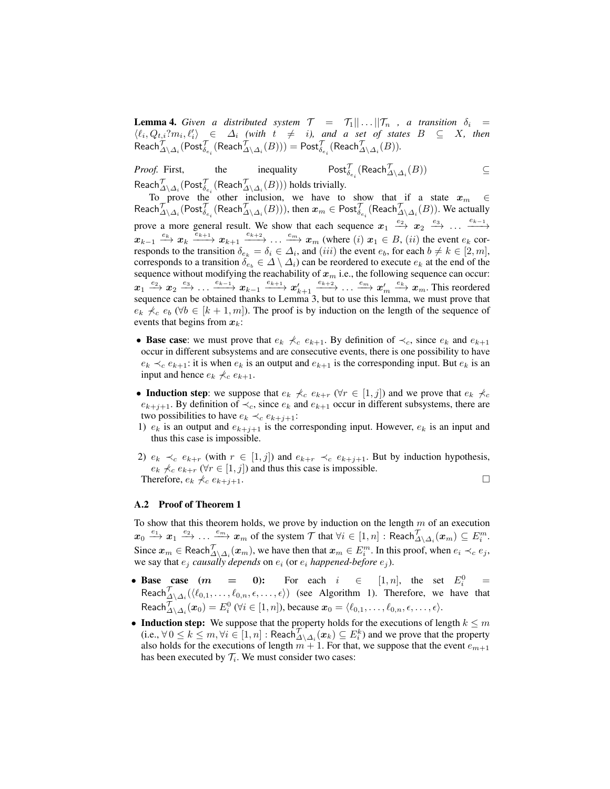**Lemma 4.** *Given a distributed system*  $\mathcal{T} = \mathcal{T}_1 || \dots || \mathcal{T}_n$ , *a transition*  $\delta_i$  =  $\langle \ell_i, Q_{t,i} \rangle_{n_i}, \ell'_i \rangle \in \Delta_i$  *(with*  $t \neq i$ *), and a set of states*  $B \subseteq X$ *, then*  $\mathsf{Reach}_{\Delta\backslash \Delta_i}^\mathcal{T}(\mathsf{Post}^\mathcal{T}_{\delta_{e_i}}(\mathsf{Reach}_{\Delta\backslash \Delta_i}^\mathcal{T}(B)))=\mathsf{Post}^\mathcal{T}_{\delta_{e_i}}(\mathsf{Reach}_{\Delta\backslash \Delta_i}^\mathcal{T}(B)).$ 

*Proof.* First, the inequality  $\int\limits_{\delta_{e_i}}^{\cal T}(\mathsf{Reach}_{\varDelta\setminus\varDelta_i}^{\cal T})$  $(B))$   $\subseteq$  $\mathsf{Reach}_{\Delta\setminus\Delta_i}^\mathcal T(\mathsf{Post}^{\mathcal T}_{\delta_{e_i}}(\mathsf{Reach}^{\mathcal T}_{\Delta\setminus\Delta_i}(B)))$  holds trivially.

To prove the other inclusion, we have to show that if a state  $x_m \in$  $\mathsf{Reach}_{\Delta\setminus\Delta_i}^\mathcal{T}(\mathsf{Post}_{\delta_{e_i}}^\mathcal{T}(\mathsf{Reach}_{\Delta\setminus\Delta_i}^\mathcal{T}(B))),$  then  $x_m\in\mathsf{Post}_{\delta_{e_i}}^\mathcal{T}(\mathsf{Reach}_{\Delta\setminus\Delta_i}^\mathcal{T}(B)).$  We actually prove a more general result. We show that each sequence  $x_1 \stackrel{e_2}{\longrightarrow} x_2 \stackrel{e_3}{\longrightarrow} \dots \stackrel{e_{k-1}}{\longrightarrow}$  $x_{k-1} \xrightarrow{e_k} x_k \xrightarrow{e_{k+1}} x_{k+1} \xrightarrow{e_{k+2}} \dots \xrightarrow{e_m} x_m$  (where  $(i)$   $x_1 \in B$ ,  $(ii)$  the event  $e_k$  corresponds to the transition  $\delta_{e_k} = \delta_i \in \Delta_i$ , and  $(iii)$  the event  $e_b$ , for each  $b \neq k \in [2, m]$ , corresponds to a transition  $\delta_{e_b} \in \Delta \setminus \Delta_i$ ) can be reordered to execute  $e_k$  at the end of the sequence without modifying the reachability of  $x_m$  i.e., the following sequence can occur:  $\begin{CD} x_1 @>e_2>> e_3>> e_{k-1}>> x_{k-1} @>e_{k+1}>> x_{k+1}' \ @>e_k>> 0 \end{CD}$  $\stackrel{e_{k+2}}{\longrightarrow} \cdots \stackrel{e_m}{\longrightarrow} x'_m \stackrel{e_k}{\longrightarrow} x_m$ . This reordered sequence can be obtained thanks to Lemma 3, but to use this lemma, we must prove that  $e_k \nless c_k$  ( $\forall b \in [k+1, m]$ ). The proof is by induction on the length of the sequence of events that begins from  $x_k$ :

- Base case: we must prove that  $e_k \nprec_c e_{k+1}$ . By definition of  $\prec_c$ , since  $e_k$  and  $e_{k+1}$ occur in different subsystems and are consecutive events, there is one possibility to have  $e_k \prec_c e_{k+1}$ : it is when  $e_k$  is an output and  $e_{k+1}$  is the corresponding input. But  $e_k$  is an input and hence  $e_k \nless c_k e_{k+1}$ .
- Induction step: we suppose that  $e_k \nprec_c e_{k+r}$  ( $\forall r \in [1, j]$ ) and we prove that  $e_k \nprec_c$  $e_{k+j+1}$ . By definition of  $\prec_c$ , since  $e_k$  and  $e_{k+1}$  occur in different subsystems, there are two possibilities to have  $e_k \prec_c e_{k+j+1}$ :
- 1)  $e_k$  is an output and  $e_{k+j+1}$  is the corresponding input. However,  $e_k$  is an input and thus this case is impossible.
- 2)  $e_k \prec_c e_{k+r}$  (with  $r \in [1, j]$ ) and  $e_{k+r} \prec_c e_{k+j+1}$ . But by induction hypothesis,  $e_k \nless c_k$ <sub>+r</sub> ( $\forall r \in [1, j]$ ) and thus this case is impossible. Therefore,  $e_k \nless e_{k+j+1}$ .

#### A.2 Proof of Theorem 1

To show that this theorem holds, we prove by induction on the length  $m$  of an execution  $x_0 \stackrel{e_1}{\longrightarrow} x_1 \stackrel{e_2}{\longrightarrow} \dots \stackrel{e_m}{\longrightarrow} x_m$  of the system  $\mathcal{T}$  that  $\forall i \in [1, n]$  : Reach $\mathcal{T}_{\Delta \setminus \Delta_i}(x_m) \subseteq E_i^m$ . Since  $x_m \in \text{Reach}_{\Delta \setminus \Delta_i}^{\mathcal{T}}(x_m)$ , we have then that  $x_m \in E_i^m$ . In this proof, when  $e_i \prec_c e_j$ , we say that  $e_i$  *causally depends* on  $e_i$  (or  $e_i$  *happened-before*  $e_i$ ).

- Base case  $(m = 0)$ : For each  $i \in [1, n]$ , the set  $E_i^0 =$ Reach $\mathcal{I}_{\Delta \setminus \Delta_i}(\langle \ell_{0,1}, \ldots, \ell_{0,n}, \epsilon, \ldots, \epsilon \rangle)$  (see Algorithm 1). Therefore, we have that  $\mathsf{Reach}_{\Delta \setminus \Delta_i}^{\mathcal{T}}(\bm{x}_0) = E_i^0 \; (\forall i \in [1,n]),$  because  $\bm{x}_0 = \langle \ell_{0,1}, \ldots, \ell_{0,n}, \epsilon, \ldots, \epsilon \rangle$ .
- Induction step: We suppose that the property holds for the executions of length  $k \le m$ (i.e.,  $\forall 0 \leq k \leq m, \forall i \in [1, n]$ : Reach $\bigwedge_{\Delta} \{x_k\} \subseteq E_i^k$ ) and we prove that the property also holds for the executions of length  $m + 1$ . For that, we suppose that the event  $e_{m+1}$ has been executed by  $\mathcal{T}_i$ . We must consider two cases: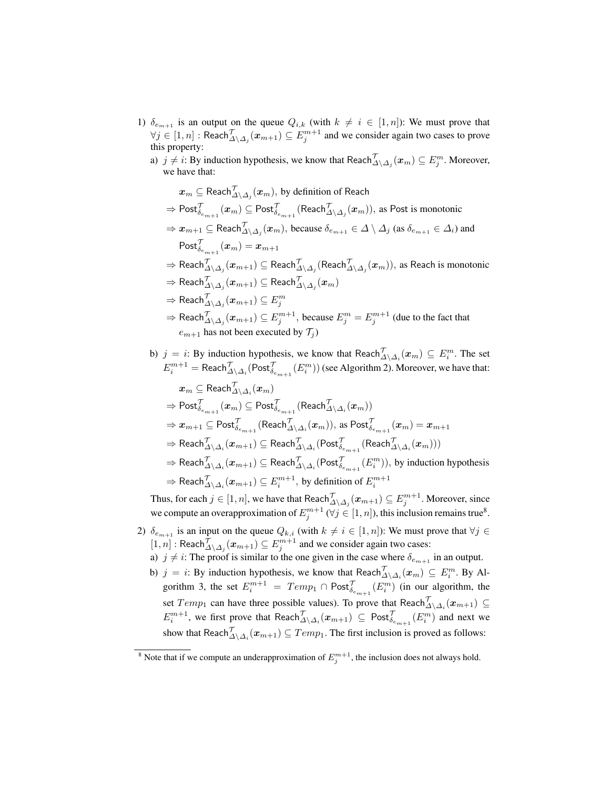- 1)  $\delta_{e_{m+1}}$  is an output on the queue  $Q_{i,k}$  (with  $k \neq i \in [1,n]$ ): We must prove that  $\forall j \in [1, n] : \mathsf{Reach}_{\Delta \setminus \Delta_j}^{\mathcal{T}}(x_{m+1}) \subseteq E_j^{m+1}$  and we consider again two cases to prove this property:
	- a)  $j \neq i$ : By induction hypothesis, we know that Reach $\mathcal{T}_{\lambda}(\Delta_j(\bm{x}_m) \subseteq E_j^m$ . Moreover, we have that:

$$
\begin{aligned} &\boldsymbol{x}_m \subseteq \text{Reach}_{\Delta \backslash \Delta_j}^{\mathcal{T}}(\boldsymbol{x}_m), \text{ by definition of }\text{Reach} \\ \Rightarrow \text{Post}_{\delta_{e_{m+1}}}^{\mathcal{T}}(\boldsymbol{x}_m) \subseteq \text{Post}_{\delta_{e_{m+1}}}^{\mathcal{T}}(\text{Reach}_{\Delta \backslash \Delta_j}^{\mathcal{T}}(\boldsymbol{x}_m)), \text{ as Post is monotonic} \\ &\Rightarrow \boldsymbol{x}_{m+1} \subseteq \text{Reach}_{\Delta \backslash \Delta_j}^{\mathcal{T}}(\boldsymbol{x}_m), \text{ because } \delta_{e_{m+1}} \in \Delta \setminus \Delta_j \text{ (as } \delta_{e_{m+1}} \in \Delta_i) \text{ and} \\ &\text{Post}_{\delta_{e_{m+1}}}^{\mathcal{T}}(\boldsymbol{x}_m) = \boldsymbol{x}_{m+1} \\ &\Rightarrow \text{Reach}_{\Delta \backslash \Delta_j}^{\mathcal{T}}(\boldsymbol{x}_{m+1}) \subseteq \text{Reach}_{\Delta \backslash \Delta_j}^{\mathcal{T}}(\text{Reach}_{\Delta \backslash \Delta_j}^{\mathcal{T}}(\boldsymbol{x}_m)), \text{ as } \text{Reach is monotonic} \\ &\Rightarrow \text{Reach}_{\Delta \backslash \Delta_j}^{\mathcal{T}}(\boldsymbol{x}_{m+1}) \subseteq \text{Reach}_{\Delta \backslash \Delta_j}^{\mathcal{T}}(\boldsymbol{x}_m) \\ &\Rightarrow \text{Reach}_{\Delta \backslash \Delta_j}^{\mathcal{T}}(\boldsymbol{x}_{m+1}) \subseteq E_j^m \\ &\Rightarrow \text{Reach}_{\Delta \backslash \Delta_j}^{\mathcal{T}}(\boldsymbol{x}_{m+1}) \subseteq E_j^{m+1}, \text{ because } E_j^m = E_j^{m+1} \text{ (due to the fact that} \\ & e_{m+1} \text{ has not been executed by }\mathcal{T}_j) \end{aligned}
$$

b)  $j = i$ : By induction hypothesis, we know that Reach $\mathcal{T}_{\Delta \setminus \Delta_i}(x_m) \subseteq E_i^m$ . The set  $E_i^{m+1} = \mathsf{Reach}_{\Delta \setminus \Delta_i}^{\mathcal{T}}(\mathsf{Post}_{\delta_{e_{m+1}}}(E_i^m))$  (see Algorithm 2). Moreover, we have that:

 $\bm{x}_m \subseteq \mathsf{Reach}^{\mathcal{T}}_{\varDelta \setminus \varDelta_i}(\bm{x}_m)$  $\Rightarrow$   $\mathsf{Post}^\mathcal{T}_{\delta_{e_{m+1}}}(x_m) \subseteq \mathsf{Post}^\mathcal{T}_{\delta_{e_{m+1}}}(\mathsf{Reach}^\mathcal{T}_{\Delta \backslash \Delta_i}(x_m))$  $\Rightarrow \pmb{x}_{m+1} \subseteq {\sf Post}_{\delta_{e_{m+1}}}^{\cal T}({\sf reach}_{\Delta \backslash \Delta_i}^{\cal T}(\pmb{x}_m)),$  as  ${\sf Post}_{\delta_{e_{m+1}}}^{\cal T}(\pmb{x}_m) = \pmb{x}_{m+1}$  $\Rightarrow \mathsf{Reach}_{\Delta\setminus\Delta_i}^{\mathcal{T}}(\pmb{x}_{m+1}) \subseteq \mathsf{Reach}_{\Delta\setminus\Delta_i}^{\mathcal{T}}(\mathsf{Post}^{\mathcal{T}}_{\delta_{e_{m+1}}}(\mathsf{Reach}^{\mathcal{T}}_{\Delta\setminus\Delta_i}(\pmb{x}_{m})))$  $\Rightarrow \mathsf{Reach}_{\Delta\setminus\Delta_i}^{\mathcal{T}}(\bm{x}_{m+1}) \subseteq \mathsf{Reach}_{\Delta\setminus\Delta_i}^{\mathcal{T}}(\mathsf{Post}_{\delta_{e_{m+1}}}^{\mathcal{T}}(E^m_i)),$  by induction hypothesis  $\Rightarrow$  Reach $^{\mathcal{T}}_{\Delta \backslash \Delta_i}(\bm{x}_{m+1}) \subseteq E^{m+1}_i,$  by definition of  $E^{m+1}_i$ 

Thus, for each  $j\in [1,n]$ , we have that  $\mathsf{Reach}_{\Delta\setminus \Delta_j}^{\mathcal T}(x_{m+1})\subseteq E^{m+1}_j$ . Moreover, since we compute an overapproximation of  $E_j^{m+1}$  ( $\forall j \in [1, n]$ ), this inclusion remains true<sup>8</sup>.

- 2)  $\delta_{e_{m+1}}$  is an input on the queue  $Q_{k,i}$  (with  $k \neq i \in [1, n]$ ): We must prove that  $\forall j \in$  $[1, n]$ : Reach $\bigwedge_{\Delta \setminus \Delta_j} (\boldsymbol{x}_{m+1}) \subseteq E_j^{m+1}$  and we consider again two cases:
	- a)  $j \neq i$ : The proof is similar to the one given in the case where  $\delta_{e_{m+1}}$  in an output.
	- b)  $j = i$ : By induction hypothesis, we know that  $\text{Reach}_{\Delta \setminus \Delta_i}^{\mathcal{T}}(\bm{x}_m) \subseteq E_i^m$ . By Algorithm 3, the set  $E_i^{m+1} = Temp_1 \cap Post_{\delta_{e_{m+1}}}^{\mathcal{T}}(E_i^m)$  (in our algorithm, the set  $Temp_1$  can have three possible values). To prove that  $\text{Reach}_{\Delta \setminus \Delta_i}^{\mathcal{T}}(x_{m+1}) \subseteq$  $E_i^{m+1}$ , we first prove that  $\textsf{Reach}_{\Delta \setminus \Delta_i}^{\mathcal{T}}(\boldsymbol{x}_{m+1}) \subseteq \textsf{Post}_{\delta_{e_{m+1}}}(E_i^m)$  and next we show that Reach $\mathcal{T}_{\Delta \setminus \Delta_i}(\bm{x}_{m+1}) \subseteq Temp_1$ . The first inclusion is proved as follows:

<sup>&</sup>lt;sup>8</sup> Note that if we compute an underapproximation of  $E_j^{m+1}$ , the inclusion does not always hold.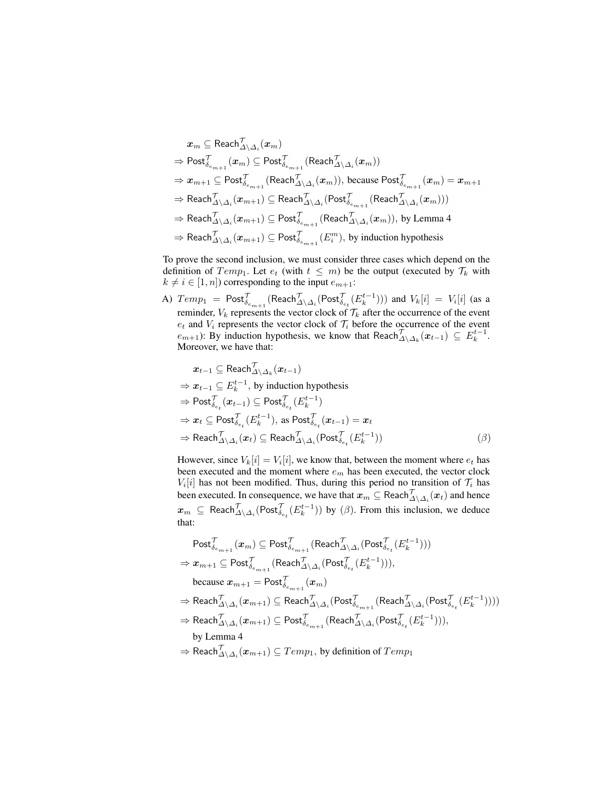$$
\begin{aligned} &\boldsymbol{x}_m \subseteq \text{Reach}_{\Delta \backslash \Delta_i}^{\mathcal{T}}(\boldsymbol{x}_m) \\ \Rightarrow \text{Post}_{\delta_{e_{m+1}}}^{\mathcal{T}}(\boldsymbol{x}_m) \subseteq \text{Post}_{\delta_{e_{m+1}}}^{\mathcal{T}}(\text{Reach}_{\Delta \backslash \Delta_i}^{\mathcal{T}}(\boldsymbol{x}_m)) \\ \Rightarrow &\boldsymbol{x}_{m+1} \subseteq \text{Post}_{\delta_{e_{m+1}}}^{\mathcal{T}}(\text{Reach}_{\Delta \backslash \Delta_i}^{\mathcal{T}}(\boldsymbol{x}_m)), \text{ because } \text{Post}_{\delta_{e_{m+1}}}^{\mathcal{T}}(\boldsymbol{x}_m) = \boldsymbol{x}_{m+1} \\ \Rightarrow \text{Reach}_{\Delta \backslash \Delta_i}^{\mathcal{T}}(\boldsymbol{x}_{m+1}) \subseteq \text{Reach}_{\Delta \backslash \Delta_i}^{\mathcal{T}}(\text{Post}_{\delta_{e_{m+1}}}^{\mathcal{T}}(\text{Reach}_{\Delta \backslash \Delta_i}^{\mathcal{T}}(\boldsymbol{x}_m))) \\ \Rightarrow \text{Reach}_{\Delta \backslash \Delta_i}^{\mathcal{T}}(\boldsymbol{x}_{m+1}) \subseteq \text{Post}_{\delta_{e_{m+1}}}^{\mathcal{T}}(\text{Reach}_{\Delta \backslash \Delta_i}^{\mathcal{T}}(\boldsymbol{x}_m)), \text{ by Lemma 4} \\ \Rightarrow \text{Reach}_{\Delta \backslash \Delta_i}^{\mathcal{T}}(\boldsymbol{x}_{m+1}) \subseteq \text{Post}_{\delta_{e_{m+1}}}^{\mathcal{T}}(E_i^m), \text{ by induction hypothesis} \end{aligned}
$$

To prove the second inclusion, we must consider three cases which depend on the definition of Temp<sub>1</sub>. Let  $e_t$  (with  $t \leq m$ ) be the output (executed by  $\mathcal{T}_k$  with  $k \neq i \in [1, n]$ ) corresponding to the input  $e_{m+1}$ :

A)  $Temp_1 = Post_{\delta_{e_{m+1}}}^{\mathcal{T}}(Reach_{\Delta\setminus\Delta_i}^{\mathcal{T}}(Post_{\delta_{e_t}}^{\mathcal{T}}(E_k^{t-1})))$  and  $V_k[i] = V_i[i]$  (as a reminder,  $V_k$  represents the vector clock of  $\mathcal{T}_k$  after the occurrence of the event  $e_t$  and  $V_i$  represents the vector clock of  $\mathcal{T}_i$  before the occurrence of the event  $e_{m+1}$ ): By induction hypothesis, we know that Reach $\mathcal{T}_{\lambda\setminus\Delta_k}(x_{t-1}) \subseteq E_k^{t-1}$ . Moreover, we have that:

$$
x_{t-1} \subseteq \text{Reach}_{\Delta \setminus \Delta_k}^{\mathcal{T}}(x_{t-1})
$$
  
\n
$$
\Rightarrow x_{t-1} \subseteq E_k^{t-1}, \text{ by induction hypothesis}
$$
  
\n
$$
\Rightarrow \text{Post}_{\delta_{e_t}}^{\mathcal{T}}(x_{t-1}) \subseteq \text{Post}_{\delta_{e_t}}^{\mathcal{T}}(E_k^{t-1})
$$
  
\n
$$
\Rightarrow x_t \subseteq \text{Post}_{\delta_{e_t}}^{\mathcal{T}}(E_k^{t-1}), \text{ as } \text{Post}_{\delta_{e_t}}^{\mathcal{T}}(x_{t-1}) = x_t
$$
  
\n
$$
\Rightarrow \text{Reach}_{\Delta \setminus \Delta_i}^{\mathcal{T}}(x_t) \subseteq \text{Reach}_{\Delta \setminus \Delta_i}^{\mathcal{T}}(\text{Post}_{\delta_{e_t}}^{\mathcal{T}}(E_k^{t-1}))
$$
  
\n
$$
\tag{\beta}
$$

However, since  $V_k[i] = V_i[i]$ , we know that, between the moment where  $e_t$  has been executed and the moment where  $e_m$  has been executed, the vector clock  $V_i[i]$  has not been modified. Thus, during this period no transition of  $\mathcal{T}_i$  has been executed. In consequence, we have that  $x_m \subseteq$  Reach $\mathcal{T}_{\Delta \setminus \Delta_i}(x_t)$  and hence  $x_m \subseteq \text{Reach}_{\Delta \setminus \Delta_i}^{\mathcal{T}}(\text{Post}_{\delta_{e_t}}^{\mathcal{T}}(E_k^{t-1}))$  by  $(\beta)$ . From this inclusion, we deduce that:

Post<sup>T</sup> δem+1 (xm) <sup>⊆</sup> Post<sup>T</sup> δem+1 (Reach<sup>T</sup> ∆\∆<sup>i</sup> (Post<sup>T</sup> δet (E t−1 k ))) <sup>⇒</sup> <sup>x</sup>m+1 <sup>⊆</sup> Post<sup>T</sup> δem+1 (Reach<sup>T</sup> ∆\∆<sup>i</sup> (Post<sup>T</sup> δet (E t−1 k ))), because xm+1 = Post<sup>T</sup> δem+1 (xm)

$$
\Rightarrow \text{Reach}_{\Delta \backslash \Delta_i}^{\mathcal{T}}(\boldsymbol{x}_{m+1}) \subseteq \text{Reach}_{\Delta \backslash \Delta_i}^{\mathcal{T}}(\text{Post}_{\delta_{e_{m+1}}}^{\mathcal{T}}(\text{Reach}_{\Delta \backslash \Delta_i}^{\mathcal{T}}(\text{Post}_{\delta_{e_t}}^{\mathcal{T}}(E_k^{t-1}))))
$$

 $\Rightarrow \mathsf{Reach}_{\Delta\setminus \Delta_i}^{\mathcal{T}}(x_{m+1}) \subseteq \mathsf{Post}_{\delta_{e_{m+1}}}^{\mathcal{T}}(\mathsf{Reach}_{\Delta\setminus \Delta_i}^{\mathcal{T}}(\mathsf{Post}_{\delta_{e_t}}^{\mathcal{T}}(E_k^{t-1}))),$ by Lemma 4

 $\Rightarrow \mathsf{Reach}_{\Delta\setminus\Delta_i}^{\mathcal{T}}(\bm{x}_{m+1}) \subseteq Temp_1,$  by definition of  $Temp_1$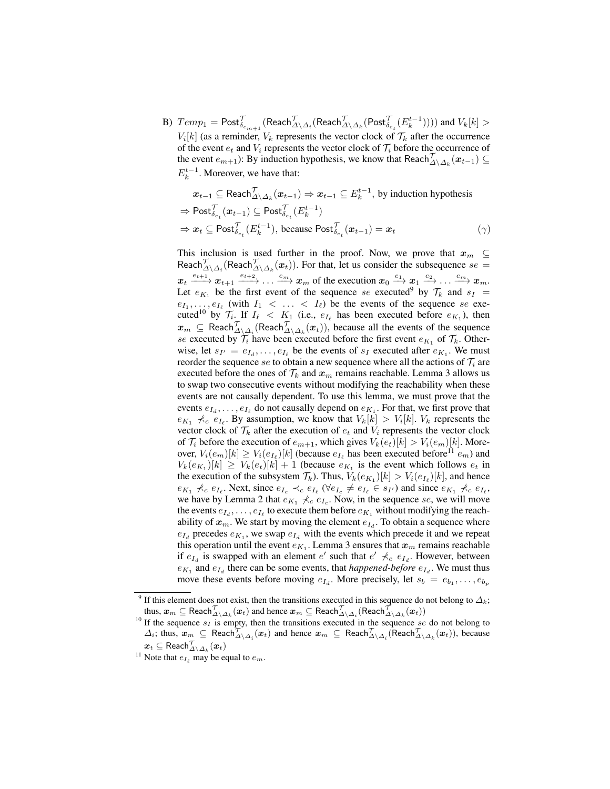B)  $Temp_1 = \mathsf{Post}_{\delta_{e_m+1}}^{\mathcal{T}}(\mathsf{Reach}_{\Delta \setminus \Delta_i}^{\mathcal{T}}(\mathsf{Reach}_{\Delta \setminus \Delta_k}^{\mathcal{T}}(\mathsf{Post}_{\delta_{e_t}}^{\mathcal{T}}(E_k^{t-1}))))$  and  $V_k[k] >$  $V_i[k]$  (as a reminder,  $V_k$  represents the vector clock of  $\mathcal{T}_k$  after the occurrence of the event  $e_t$  and  $V_i$  represents the vector clock of  $\mathcal{T}_i$  before the occurrence of the event  $e_{m+1}$ ): By induction hypothesis, we know that Reach $\mathcal{T}_{\Delta \setminus \Delta_k}(\boldsymbol{x}_{t-1}) \subseteq$  $E_k^{t-1}$ . Moreover, we have that:

$$
x_{t-1} \subseteq \text{Reach}_{\Delta \setminus \Delta_k}^{\mathcal{T}}(x_{t-1}) \Rightarrow x_{t-1} \subseteq E_k^{t-1}, \text{ by induction hypothesis}
$$
  
\n
$$
\Rightarrow \text{Post}_{\delta_{e_t}}^{\mathcal{T}}(x_{t-1}) \subseteq \text{Post}_{\delta_{e_t}}^{\mathcal{T}}(E_k^{t-1})
$$
  
\n
$$
\Rightarrow x_t \subseteq \text{Post}_{\delta_{e_t}}^{\mathcal{T}}(E_k^{t-1}), \text{ because } \text{Post}_{\delta_{e_t}}^{\mathcal{T}}(x_{t-1}) = x_t
$$
 (γ)

This inclusion is used further in the proof. Now, we prove that  $x_m \subseteq$ Reach $\frac{1}{\Delta}$  (Reach $\frac{1}{\Delta}$  (Reach $\frac{1}{\Delta}$  ( $x_t$ )). For that, let us consider the subsequence  $se =$  $x_t \xrightarrow{e_{t+1}} x_{t+1} \xrightarrow{e_{t+2}} \dots \xrightarrow{e_m} x_m$  of the execution  $x_0 \xrightarrow{e_1} x_1 \xrightarrow{e_2} \dots \xrightarrow{e_m} x_m$ . Let  $e_{K_1}$  be the first event of the sequence se executed<sup>9</sup> by  $\mathcal{T}_k$  and  $s_I$  $e_{I_1}, \ldots, e_{I_\ell}$  (with  $I_1 < \ldots < I_\ell$ ) be the events of the sequence se executed<sup>10</sup> by  $\mathcal{T}_i$ . If  $I_\ell < K_1$  (i.e.,  $e_{I_\ell}$  has been executed before  $e_{K_1}$ ), then  $x_m \subseteq \text{Reach}_{\Delta \setminus \Delta_i}^{\mathcal{T}}(\text{Reach}_{\Delta \setminus \Delta_k}(x_t)),$  because all the events of the sequence se executed by  $\mathcal{T}_i$  have been executed before the first event  $e_{K_1}$  of  $\mathcal{T}_k$ . Otherwise, let  $s_{I'} = e_{I_d}, \dots, e_{I_\ell}$  be the events of  $s_I$  executed after  $e_{K_1}$ . We must reorder the sequence se to obtain a new sequence where all the actions of  $\mathcal{T}_i$  are executed before the ones of  $\mathcal{T}_k$  and  $\mathbf{x}_m$  remains reachable. Lemma 3 allows us to swap two consecutive events without modifying the reachability when these events are not causally dependent. To use this lemma, we must prove that the events  $e_{I_d}, \ldots, e_{I_\ell}$  do not causally depend on  $e_{K_1}$ . For that, we first prove that  $e_{K_1} \nprec_c e_{I_\ell}$ . By assumption, we know that  $V_k[k] > V_i[k]$ .  $V_k$  represents the vector clock of  $\mathcal{T}_k$  after the execution of  $e_t$  and  $V_i$  represents the vector clock of  $\mathcal{T}_i$  before the execution of  $e_{m+1}$ , which gives  $V_k(e_t)[k] > V_i(e_m)[k]$ . Moreover,  $V_i(e_m)[k] \ge V_i(e_{I_\ell})[k]$  (because  $e_{I_\ell}$  has been executed before<sup>11</sup>  $e_m$ ) and  $V_k(e_{K_1})[k] \geq V_k(e_t)[k] + 1$  (because  $e_{K_1}$  is the event which follows  $e_t$  in the execution of the subsystem  $\mathcal{T}_k$ ). Thus,  $V_k(e_{K_1})[k] > V_i(e_{I_\ell})[k]$ , and hence  $e_{K_1} \nprec_c e_{I_\ell}$ . Next, since  $e_{I_c} \prec_c e_{I_\ell}$  ( $\forall e_{I_c} \neq e_{I_\ell} \in s_{I_\ell}$ ) and since  $e_{K_1} \nprec_c e_{I_\ell}$ , we have by Lemma 2 that  $e_{K_1} \nprec_c e_{I_c}$ . Now, in the sequence se, we will move the events  $e_{I_d}, \ldots, e_{I_\ell}$  to execute them before  $e_{K_1}$  without modifying the reachability of  $x_m$ . We start by moving the element  $e_{I_d}$ . To obtain a sequence where  $e_{I_d}$  precedes  $e_{K_1}$ , we swap  $e_{I_d}$  with the events which precede it and we repeat this operation until the event  $e_{K_1}$ . Lemma 3 ensures that  $x_m$  remains reachable if  $e_{I_d}$  is swapped with an element e' such that  $e' \nprec c_{I_d}$ . However, between  $e_{K_1}$  and  $e_{I_d}$  there can be some events, that *happened-before*  $e_{I_d}$ . We must thus move these events before moving  $e_{I_d}$ . More precisely, let  $s_b = e_{b_1}, \ldots, e_{b_p}$ 

<sup>&</sup>lt;sup>9</sup> If this element does not exist, then the transitions executed in this sequence do not belong to  $\Delta_k$ ; thus,  $x_m\subseteq \mathsf{Reach}^{\mathcal{T}}_{\vartriangle\setminus\Delta_k}(x_t)$  and hence  $x_m\subseteq \mathsf{Reach}^{\mathcal{T}}_{\vartriangle\setminus\Delta_i}(\mathsf{Reach}^{\mathcal{T}}_{\vartriangle\setminus\Delta_k}(x_t))$ 

<sup>&</sup>lt;sup>10</sup> If the sequence  $s_I$  is empty, then the transitions executed in the sequence se do not belong to  $\Delta_i$ ; thus,  $x_m \subseteq \text{Reach}_{\Delta \setminus \Delta_i}^{\mathcal{T}}(x_t)$  and hence  $x_m \subseteq \text{Reach}_{\Delta \setminus \Delta_i}^{\mathcal{T}}(\text{Reach}_{\Delta \setminus \Delta_k}^{\mathcal{T}}(x_t))$ , because  $\boldsymbol{x}_t \subseteq \mathsf{Reach}^{\mathcal{T}}_{\varDelta \backslash \varDelta_k}(\boldsymbol{x}_t)$ 

<sup>&</sup>lt;sup>11</sup> Note that  $e_{I_\ell}$  may be equal to  $e_m$ .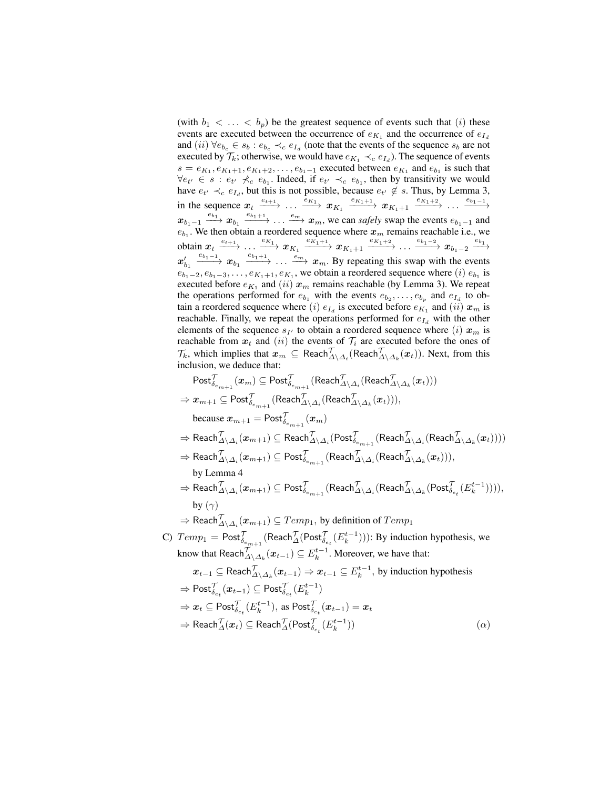(with  $b_1 < \ldots < b_p$ ) be the greatest sequence of events such that (i) these events are executed between the occurrence of  $e_{K_1}$  and the occurrence of  $e_{I_d}$ and  $(ii) \forall e_{b_c} \in s_b : e_{b_c} \prec_c e_{I_d}$  (note that the events of the sequence  $s_b$  are not executed by  $\mathcal{T}_k$ ; otherwise, we would have  $e_{K_1} \prec_c e_{I_d}$ ). The sequence of events  $s = e_{K_1}, e_{K_1+1}, e_{K_1+2}, \dots, e_{b_1-1}$  executed between  $e_{K_1}$  and  $e_{b_1}$  is such that  $\forall e_{t'} \in s : e_{t'} \nprec_c e_{b_1}$ . Indeed, if  $e_{t'} \prec_c e_{b_1}$ , then by transitivity we would have  $e_{t'} \prec_c e_{I_d}$ , but this is not possible, because  $e_{t'} \notin s$ . Thus, by Lemma 3, in the sequence  $x_t \stackrel{e_{t+1}}{\longrightarrow} \dots \stackrel{e_{K_1}}{\longrightarrow} x_{K_1} \stackrel{e_{K_1+1}}{\longrightarrow} x_{K_1+1} \stackrel{e_{K_1+2}}{\longrightarrow} \dots \stackrel{e_{b_1-1}}{\longrightarrow}$ −−−→  $x_{b_1-1} \xrightarrow{e_{b_1}} x_{b_1} \xrightarrow{e_{b_1+1}} \dots \xrightarrow{e_m} x_m$ , we can *safely* swap the events  $e_{b_1-1}$  and  $e_{b_1}$ . We then obtain a reordered sequence where  $x_m$  remains reachable i.e., we obtain  $x_t \xrightarrow{e_{t+1}} \dots \xrightarrow{e_{K_1}} x_{K_1} \xrightarrow{e_{K_1+1}} x_{K_1+1} \xrightarrow{e_{K_1+2}} \dots \xrightarrow{e_{b_1-2}} x_{b_1-2} \xrightarrow{e_{b_1}}$  $\boldsymbol{x}_{b_1}'$  $\stackrel{e_{b_1-1}}{\longrightarrow} x_{b_1} \stackrel{e_{b_1+1}}{\longrightarrow} \ldots \stackrel{e_m}{\longrightarrow} x_m$ . By repeating this swap with the events  $e_{b_1-2}, e_{b_1-3}, \ldots, e_{K_1+1}, e_{K_1}$ , we obtain a reordered sequence where  $(i)$   $e_{b_1}$  is executed before  $e_{K_1}$  and  $(ii)$   $x_m$  remains reachable (by Lemma 3). We repeat the operations performed for  $e_{b_1}$  with the events  $e_{b_2}, \ldots, e_{b_p}$  and  $e_{I_d}$  to obtain a reordered sequence where (*i*)  $e_{I_d}$  is executed before  $e_{K_1}$  and (*ii*)  $x_m$  is reachable. Finally, we repeat the operations performed for  $e_{I_d}$  with the other elements of the sequence  $s_{I'}$  to obtain a reordered sequence where  $(i)$   $x_m$  is reachable from  $x_t$  and (ii) the events of  $\mathcal{T}_i$  are executed before the ones of  $\mathcal{T}_k$ , which implies that  $x_m \subseteq \text{Reach}_{\Delta \setminus \Delta_i}^{\mathcal{T}}(\text{Reach}_{\Delta \setminus \Delta_k}^{\mathcal{T}}(x_t))$ . Next, from this inclusion, we deduce that:

$$
\begin{aligned} &\mathsf{Post}^\mathcal{T}_{\delta_{e_{m+1}}}(x_m) \subseteq \mathsf{Post}^\mathcal{T}_{\delta_{e_{m+1}}}(\mathsf{Reach}^\mathcal{T}_{\Delta \setminus \Delta_i}(\mathsf{Reach}^\mathcal{T}_{\Delta \setminus \Delta_k}(x_t)))\\ &\Rightarrow x_{m+1} \subseteq \mathsf{Post}^\mathcal{T}_{\delta_{e_{m+1}}}(\mathsf{Reach}^\mathcal{T}_{\Delta \setminus \Delta_i}(\mathsf{Reach}^\mathcal{T}_{\Delta \setminus \Delta_k}(x_t))),\\ &\text{because } x_{m+1} = \mathsf{Post}^\mathcal{T}_{\delta_{e_{m+1}}}(x_m)\\ &\Rightarrow \mathsf{Reach}^\mathcal{T}_{\Delta \setminus \Delta_i}(x_{m+1}) \subseteq \mathsf{Reach}^\mathcal{T}_{\Delta \setminus \Delta_i}(\mathsf{Post}^\mathcal{T}_{\delta_{e_{m+1}}}(\mathsf{Reach}^\mathcal{T}_{\Delta \setminus \Delta_i}(\mathsf{Reach}^\mathcal{T}_{\Delta \setminus \Delta_k}(x_t))))\\ &\Rightarrow \mathsf{Reach}^\mathcal{T}_{\Delta \setminus \Delta_i}(x_{m+1}) \subseteq \mathsf{Post}^\mathcal{T}_{\delta_{e_{m+1}}}(\mathsf{Reach}^\mathcal{T}_{\Delta \setminus \Delta_i}(\mathsf{Reach}^\mathcal{T}_{\Delta \setminus \Delta_k}(x_t))))\\ &\text{by Lemma 4}\\ &\Rightarrow \mathsf{Reach}^\mathcal{T}_{\Delta \setminus \Delta_i}(x_{m+1}) \subseteq \mathsf{Post}^\mathcal{T}_{\delta_{e_{m+1}}}(\mathsf{Reach}^\mathcal{T}_{\Delta \setminus \Delta_i}(\mathsf{Reach}^\mathcal{T}_{\Delta \setminus \Delta_k}(\mathsf{Post}^\mathcal{T}_{\delta_{e_t}}(E^{t-1}_k))))),\\ &\text{by }(\gamma)\\ &\Rightarrow \mathsf{Reach}^\mathcal{T}_{\Delta \setminus \Delta_i}(x_{m+1}) \subseteq \mathit{Temp}_1, \text{ by definition of } Temp_1\\ \mathit{Temp}_1 = \mathsf{Post}^\mathcal{T}_{\delta_{e_{m+1}}}(\mathsf{Reach}^\mathcal{T}_{\Delta}(\mathsf{Post}^\mathcal{T}_{\delta_{e_t}}(E^{t-1}_k)))):\text{By induction hypothesis, we have that:} \end{aligned}
$$

know that 
$$
\text{Reach}_{\Delta \setminus \Delta_k}^{\mathcal{T}}(\boldsymbol{x}_{t-1}) \subseteq E_k^{t-1}
$$
. Moreover, we have that:  
\n
$$
\boldsymbol{x}_{t-1} \subseteq \text{Reach}_{\Delta \setminus \Delta_k}^{\mathcal{T}}(\boldsymbol{x}_{t-1}) \Rightarrow \boldsymbol{x}_{t-1} \subseteq E_k^{t-1}, \text{ by induction hypothesis}
$$
\n
$$
\Rightarrow \text{Post}_{\delta_{e_t}}^{\mathcal{T}}(\boldsymbol{x}_{t-1}) \subseteq \text{Post}_{\delta_{e_t}}^{\mathcal{T}}(E_k^{t-1})
$$
\n
$$
\Rightarrow \boldsymbol{x}_t \subseteq \text{Post}_{\delta_{e_t}}^{\mathcal{T}}(E_k^{t-1}), \text{ as } \text{Post}_{\delta_{e_t}}^{\mathcal{T}}(\boldsymbol{x}_{t-1}) = \boldsymbol{x}_t
$$
\n
$$
\Rightarrow \text{Reach}_{\Delta}^{\mathcal{T}}(\boldsymbol{x}_t) \subseteq \text{Reach}_{\Delta}^{\mathcal{T}}(\text{Post}_{\delta_{e_t}}^{\mathcal{T}}(E_k^{t-1})) \tag{a}
$$

 $\mathcal{C}$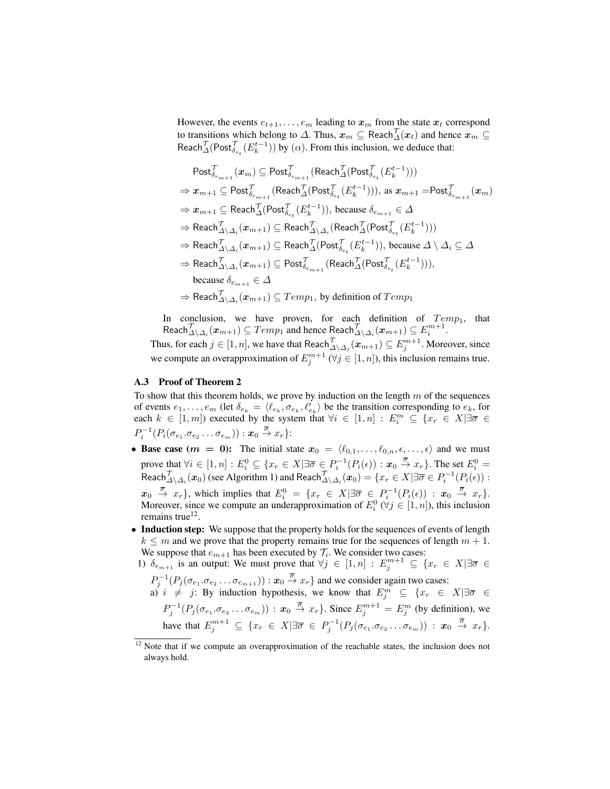However, the events  $e_{t+1}, \ldots, e_m$  leading to  $x_m$  from the state  $x_t$  correspond to transitions which belong to  $\Delta$ . Thus,  $x_m \subseteq$  Reach $\overline{\Lambda}(x_t)$  and hence  $x_m \subseteq$ Reach $\mathcal{T}_{\Delta}(\text{Post}_{\delta_{e_t}}^{\mathcal{T}}(E_k^{t-1}))$  by  $(\alpha)$ . From this inclusion, we deduce that:

$$
\begin{aligned} &\mathsf{Post}^{\mathcal{T}}_{\delta_{e_{m+1}}}(x_{m})\subseteq \mathsf{Post}^{\mathcal{T}}_{\delta_{e_{m+1}}}(\mathsf{Reach}^{\mathcal{T}}_{\Delta}(\mathsf{Post}^{\mathcal{T}}_{\delta_{e_{t}}}(E^{t-1}_{k})))\\ \Rightarrow x_{m+1}\subseteq \mathsf{Post}^{\mathcal{T}}_{\delta_{e_{m+1}}}(\mathsf{Reach}^{\mathcal{T}}_{\Delta}(\mathsf{Post}^{\mathcal{T}}_{\delta_{e_{t}}}(E^{t-1}_{k}))) ,\ \text{as}\ x_{m+1} = \mathsf{Post}^{\mathcal{T}}_{\delta_{e_{m+1}}}(x_{m})\\ \Rightarrow x_{m+1}\subseteq \mathsf{Reach}^{\mathcal{T}}_{\Delta}(\mathsf{Post}^{\mathcal{T}}_{\delta_{e_{t}}}(E^{t-1}_{k}))) ,\ \text{because}\ \delta_{e_{m+1}}\in \Delta\\ \Rightarrow \mathsf{Reach}^{\mathcal{T}}_{\Delta\setminus \Delta_i}(x_{m+1})\subseteq \mathsf{Reach}^{\mathcal{T}}_{\Delta\setminus \Delta_i}(\mathsf{Reach}^{\mathcal{T}}_{\Delta}(\mathsf{Post}^{\mathcal{T}}_{\delta_{e_{t}}}(E^{t-1}_{k})))\\ \Rightarrow \mathsf{Reach}^{\mathcal{T}}_{\Delta\setminus \Delta_i}(x_{m+1})\subseteq \mathsf{Reach}^{\mathcal{T}}_{\Delta}(\mathsf{Post}^{\mathcal{T}}_{\delta_{e_{t}}}(E^{t-1}_{k}))) ,\ \text{because}\ \Delta\setminus \Delta_i\subseteq \Delta\\ \Rightarrow \mathsf{Reach}^{\mathcal{T}}_{\Delta\setminus \Delta_i}(x_{m+1})\subseteq \mathsf{Post}^{\mathcal{T}}_{\delta_{e_{m+1}}}(\mathsf{Reach}^{\mathcal{T}}_{\Delta}(\mathsf{Post}^{\mathcal{T}}_{\delta_{e_{t}}}(E^{t-1}_{k})))) ,\\ \text{because}\ \delta_{e_{m+1}}\in \Delta\\ \Rightarrow \mathsf{Reach}^{\mathcal{T}}_{\Delta\setminus \Delta_i}(x_{m+1})\subseteq \mathit{Temp}_1 ,\ \text{by definition of}\ \mathit{Temp}_1 \end{aligned}
$$

In conclusion, we have proven, for each definition of  $Temp_1$ , that  $\mathsf{Reach}_{\Delta\setminus\Delta_i}^{\mathcal{T}}(\bm{x}_{m+1}) \subseteq Temp_1$  and hence  $\mathsf{Reach}_{\Delta\setminus\Delta_i}^{\mathcal{T}}(\bm{x}_{m+1}) \subseteq E_i^{m+1}$ .

Thus, for each  $j\in [1,n]$ , we have that  $\mathsf{Reach}_{\Delta\setminus \Delta_j}^{\mathcal T}(x_{m+1})\subseteq E^{m+1}_j$ . Moreover, since we compute an overapproximation of  $E_j^{m+1}$  ( $\forall j \in [1, n]$ ), this inclusion remains true.

#### A.3 Proof of Theorem 2

To show that this theorem holds, we prove by induction on the length  $m$  of the sequences of events  $e_1, \ldots, e_m$  (let  $\delta_{e_k} = \langle \ell_{e_k}, \sigma_{e_k}, \ell'_{e_k} \rangle$  be the transition corresponding to  $e_k$ , for each  $k \in [1, m]$ ) executed by the system that  $\forall i \in [1, n] : E_i^m \subseteq \{x_r \in X | \exists \overline{\sigma} \in$  $P_i^{-1}(P_i(\sigma_{e_1}.\sigma_{e_2}...\sigma_{e_m})) : \mathbf{x}_0 \stackrel{\overline{\sigma}}{\rightarrow} x_r$ :

- Base case  $(m = 0)$ : The initial state  $x_0 = \langle \ell_{0,1}, \ldots, \ell_{0,n}, \epsilon, \ldots, \epsilon \rangle$  and we must prove that  $\forall i \in [1, n]: E_i^0 \subseteq \{x_r \in X | \exists \overline{\sigma} \in P_i^{-1}(P_i(\epsilon)) : x_0 \stackrel{\overline{\sigma}}{\rightarrow} x_r\}.$  The set  $E_i^0 =$  $\mathsf{Reach}_{\Delta\setminus\Delta_i}^{\mathcal{T}}(\bm{x}_0)$  (see Algorithm 1) and  $\mathsf{Reach}_{\Delta\setminus\Delta_i}^{\mathcal{T}}(\bm{x}_0) = \{x_r \in X | \exists \overline{\sigma} \in P_i^{-1}(P_i(\epsilon))$  :  $\mathbf{x}_0 \stackrel{\overline{\sigma}}{\rightarrow} x_r$ , which implies that  $E_i^0 = \{x_r \in X | \exists \overline{\sigma} \in P_i^{-1}(P_i(\epsilon)) : x_0 \stackrel{\overline{\sigma}}{\rightarrow} x_r \}.$ Moreover, since we compute an underapproximation of  $E_i^0$  ( $\forall j \in [1, n]$ ), this inclusion remains true<sup>12</sup>.
- Induction step: We suppose that the property holds for the sequences of events of length  $k \leq m$  and we prove that the property remains true for the sequences of length  $m + 1$ . We suppose that  $e_{m+1}$  has been executed by  $\mathcal{T}_i$ . We consider two cases:
	- 1)  $\delta_{e_{m+1}}$  is an output: We must prove that  $\forall j \in [1, n] : E_j^{m+1} \subseteq \{x_r \in X | \exists \overline{\sigma} \in$  $P_j^{-1}(P_j(\sigma_{e_1} \ldots \sigma_{e_{2}} \ldots \sigma_{e_{m+1}})) : x_0 \stackrel{\overline{\sigma}}{\rightarrow} x_r$  and we consider again two cases:
		- a)  $i \neq j$ : By induction hypothesis, we know that  $E_j^m \subseteq \{x_r \in X | \exists \overline{\sigma} \in$  $P_j^{-1}(P_j(\sigma_{e_1} \ldots \sigma_{e_2} \ldots \sigma_{e_m})) : \mathbf{x}_0 \stackrel{\overline{\sigma}}{\rightarrow} x_r$ . Since  $E_j^{m+1} = E_j^m$  (by definition), we have that  $E_j^{m+1} \subseteq \{x_r \in X | \exists \overline{\sigma} \in P_j^{-1}(P_j(\sigma_{e_1} \ldots \sigma_{e_2} \ldots \sigma_{e_m})) : x_0 \stackrel{\overline{\sigma}}{\rightarrow} x_r \}.$

 $12$  Note that if we compute an overapproximation of the reachable states, the inclusion does not always hold.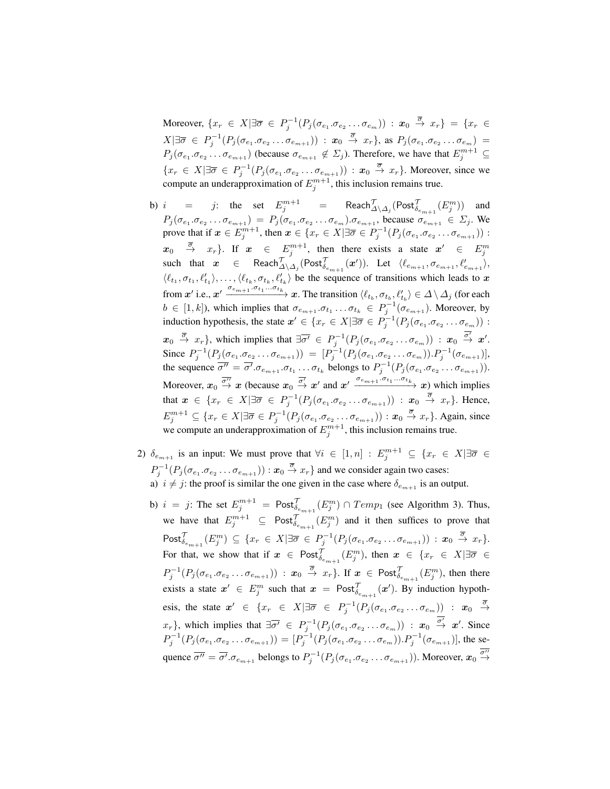Moreover,  $\{x_r \in X | \exists \overline{\sigma} \in P_j^{-1}(P_j(\sigma_{e_1} \ldots \sigma_{e_2} \ldots \sigma_{e_m})) : x_0 \stackrel{\overline{\sigma}}{\rightarrow} x_r \} = \{x_r \in$  $X|\exists \overline{\sigma}\in P_j^{-1}(P_j(\sigma_{e_1}.\sigma_{e_2}...\sigma_{e_{m+1}}))$  :  $\mathbf{x}_0 \stackrel{\overline{\sigma}}{\rightarrow} x_r$ , as  $P_j(\sigma_{e_1}.\sigma_{e_2}...\sigma_{e_m})$  =  $P_j(\sigma_{e_1} \cdot \sigma_{e_2} \dots \sigma_{e_{m+1}})$  (because  $\sigma_{e_{m+1}} \notin \Sigma_j$ ). Therefore, we have that  $E_j^{m+1} \subseteq$  ${x_r \in X | \exists \overline{\sigma} \in P_j^{-1}(P_j(\sigma_{e_1} \sigma_{e_2} \dots \sigma_{e_{m+1}})) : x_0 \stackrel{\overline{\sigma}}{\rightarrow} x_r}.$  Moreover, since we compute an underapproximation of  $E_j^{m+1}$ , this inclusion remains true.

- b)  $i = j$ : the set  $E_j^{m+1} = \text{Reach}_{\Delta \setminus \Delta_j}^{\mathcal{T}}(\text{Post}_{\delta_{e_{m+1}}}(E_j^m))$  and  $P_j(\sigma_{e_1} \cdot \sigma_{e_2} \dots \sigma_{e_{m+1}}) = P_j(\sigma_{e_1} \cdot \sigma_{e_2} \dots \sigma_{e_m}) \cdot \sigma_{e_{m+1}}$ , because  $\sigma_{e_{m+1}} \in \Sigma_j$ . We prove that if  $x \in E_j^{m+1}$ , then  $x \in \{x_r \in X | \exists \overline{\sigma} \in P_j^{-1}(P_j(\sigma_{e_1} \ldots \sigma_{e_{2}} \ldots \sigma_{e_{m+1}}))$ :  $x_0 \stackrel{\overline{\sigma}}{\rightarrow} x_r$ . If  $x \in E_j^{m+1}$ , then there exists a state  $x' \in E_j^m$ such that  $x \in \text{Reach}_{\Delta \setminus \Delta_j}^{\mathcal{T}}(\text{Post}_{\delta_{e_{m+1}}}^{\mathcal{T}}(\boldsymbol{x}')).$  Let  $\langle \ell_{e_{m+1}}, \sigma_{e_{m+1}}, \ell'_{e_{m+1}} \rangle$ ,  $\langle \ell_{t_1}, \sigma_{t_1}, \ell'_{t_1} \rangle, \ldots, \langle \ell_{t_k}, \sigma_{t_k}, \ell'_{t_k} \rangle$  be the sequence of transitions which leads to x from  $x'$  i.e.,  $x' \xrightarrow{\sigma_{e_{m+1}} \cdot \sigma_{t_1} \cdot \cdot \sigma_{t_k}} x$ . The transition  $\langle \ell_{t_b}, \sigma_{t_b}, \ell'_{t_b} \rangle \in \Delta \setminus \Delta_j$  (for each  $b \in [1, k]$ ), which implies that  $\sigma_{e_{m+1}} \cdot \sigma_{t_1} \cdot \cdot \cdot \sigma_{t_k} \in P_j^{-1}(\sigma_{e_{m+1}})$ . Moreover, by induction hypothesis, the state  $x' \in \{x_r \in X | \exists \overline{\sigma} \in P_j^{-1}(P_j(\sigma_{e_1} \ldots \sigma_{e_n} \ldots \sigma_{e_m}))$ :  $x_0 \stackrel{\overline{\sigma}}{\rightarrow} x_r$ , which implies that  $\exists \overline{\sigma'} \in P_j^{-1}(P_j(\sigma_{e_1} \sigma_{e_2} \ldots \sigma_{e_m})) : x_0 \stackrel{\overline{\sigma'}}{\rightarrow} x'.$ Since  $P_j^{-1}(P_j(\sigma_{e_1}\ldots \sigma_{e_{2}}\ldots \sigma_{e_{m+1}})) = [P_j^{-1}(P_j(\sigma_{e_1}\ldots \sigma_{e_{2}}\ldots \sigma_{e_{m}})).P_j^{-1}(\sigma_{e_{m+1}})],$ the sequence  $\overline{\sigma''} = \overline{\sigma'}. \sigma_{e_{m+1}}. \sigma_{t_1} \ldots \sigma_{t_k}$  belongs to  $P_j^{-1}(P_j(\sigma_{e_1}.\sigma_{e_2} \ldots \sigma_{e_{m+1}})).$ Moreover,  $x_0 \stackrel{\overline{\sigma'}}{\rightarrow} x$  (because  $x_0 \stackrel{\overline{\sigma'}}{\rightarrow} x'$  and  $x' \stackrel{\sigma_{e_{m+1}} \cdot \sigma_{t_1} \dots \sigma_{t_k}}{\rightarrow} x$ ) which implies that  $x \in \{x_r \in X | \exists \overline{\sigma} \in P_j^{-1}(P_j(\sigma_{e_1} \cdot \sigma_{e_2} \ldots \sigma_{e_{m+1}})) : x_0 \stackrel{\overline{\sigma}}{\rightarrow} x_r \}.$  Hence,  $E_j^{m+1} \subseteq \{x_r \in X | \exists \overline{\sigma} \in P_j^{-1}(P_j(\sigma_{e_1} \ldots \sigma_{e_{2}} \ldots \sigma_{e_{m+1}})) : x_0 \stackrel{\overline{\sigma}}{\rightarrow} x_r\}.$  Again, since we compute an underapproximation of  $E_j^{m+1}$ , this inclusion remains true.
- 2)  $\delta_{e_{m+1}}$  is an input: We must prove that  $\forall i \in [1, n] : E_j^{m+1} \subseteq \{x_r \in X | \exists \overline{\sigma} \in$  $P_j^{-1}(P_j(\sigma_{e_1} \ldots \sigma_{e_{2}} \ldots \sigma_{e_{m+1}})) : x_0 \stackrel{\overline{\sigma}}{\rightarrow} x_r$  and we consider again two cases: a)  $i \neq j$ : the proof is similar the one given in the case where  $\delta_{e_{m+1}}$  is an output.
	- b)  $i = j$ : The set  $E_j^{m+1} = \text{Post}_{\delta_{e_{m+1}}}(E_j^m) \cap Temp_1$  (see Algorithm 3). Thus, we have that  $E_j^{m+1} \subseteq \text{Post}^{\mathcal{T}}_{\delta_{e_{m+1}}}(E_j^m)$  and it then suffices to prove that  $\mathsf{Post}^{\mathcal T}_{\delta_{e_{m+1}}}(E^m_j) \,\subseteq\, \{x_r \,\in\, X| \exists \overline{\sigma} \,\in\, P_j^{-1}(P_j(\sigma_{e_1}.\sigma_{e_2}\ldots \sigma_{e_{m+1}})) \,:\, \pmb{x}_0 \,\stackrel{\overline{\sigma}}{\rightarrow} \,x_r\}.$ For that, we show that if  $x \in \text{Post}_{\delta_{e_{m+1}}}(E^m_j)$ , then  $x \in \{x_r \in X | \exists \overline{\sigma} \in$  $P_j^{-1}(P_j(\sigma_{e_1}.\sigma_{e_2}...\sigma_{e_{m+1}}))$  :  $x_0 \stackrel{\overline{\sigma}}{\rightarrow} x_r$ . If  $x \in \text{Post}^{\mathcal{T}}_{\delta_{e_{m+1}}}(E^m_j)$ , then there exists a state  $x' \in E_j^m$  such that  $x = \text{Post}^{\mathcal{T}}_{\delta_{e_{m+1}}}(x')$ . By induction hypothesis, the state  $x' \in \{x_r \in X | \exists \overline{\sigma} \in P_j^{-1}(P_j(\sigma_{e_1} \sigma_{e_2} \dots \sigma_{e_m})) : x_0 \stackrel{\overline{\sigma}}{\rightarrow}$  $x_r$ }, which implies that  $\exists \overline{\sigma'} \in P_j^{-1}(P_j(\sigma_{e_1} \ldots \sigma_{e_n})) : x_0 \stackrel{\overline{\sigma'}}{\rightarrow} x'$ . Since  $P_j^{-1}(P_j(\sigma_{e_1}.\sigma_{e_2}...\sigma_{e_{m+1}})) = [P_j^{-1}(P_j(\sigma_{e_1}.\sigma_{e_2}...\sigma_{e_m})).P_j^{-1}(\sigma_{e_{m+1}})],$  the sequence  $\overline{\sigma''} = \overline{\sigma'}. \sigma_{e_{m+1}}$  belongs to  $P_j^{-1}(P_j(\sigma_{e_1}.\sigma_{e_2} \dots \sigma_{e_{m+1}})).$  Moreover,  $x_0 \stackrel{\overline{\sigma''}}{\rightarrow}$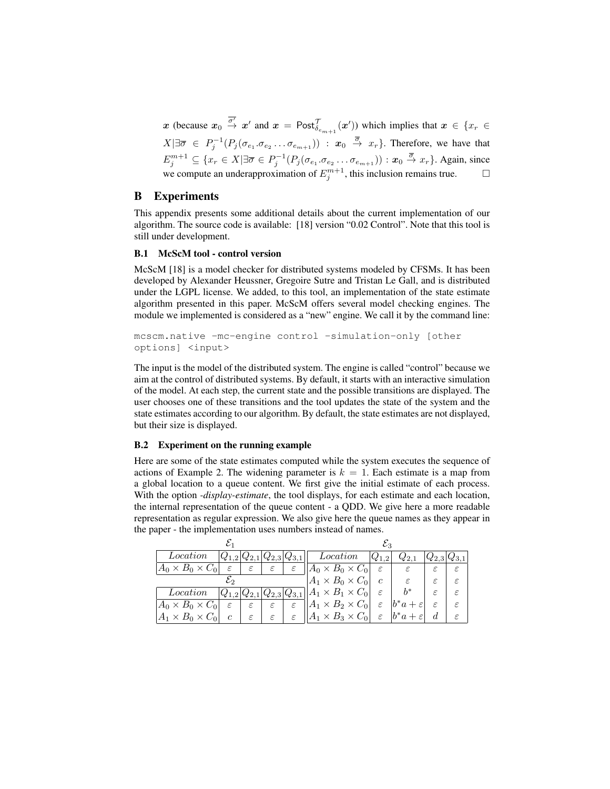x (because  $x_0 \stackrel{\overline{\sigma'}}{\rightarrow} x'$  and  $x = \text{Post}^{\mathcal{T}}_{\delta_{e_{m+1}}}(x')$ ) which implies that  $x \in \{x_r \in$  $X|\exists \overline{\sigma} \in P_j^{-1}(P_j(\sigma_{e_1} \ldots \sigma_{e_2} \ldots \sigma_{e_{m+1}}))$  :  $x_0 \stackrel{\overline{\sigma}}{\rightarrow} x_r$ . Therefore, we have that  $E_j^{m+1} \subseteq \{x_r \in X | \exists \overline{\sigma} \in P_j^{-1}(P_j(\sigma_{e_1} \ldots \sigma_{e_{2}} \ldots \sigma_{e_{m+1}})) : x_0 \stackrel{\overline{\sigma}}{\rightarrow} x_r\}.$  Again, since we compute an underapproximation of  $E_j^{m+1}$ , this inclusion remains true.  $\Box$ 

## B Experiments

This appendix presents some additional details about the current implementation of our algorithm. The source code is available: [18] version "0.02 Control". Note that this tool is still under development.

#### B.1 McScM tool - control version

McScM [18] is a model checker for distributed systems modeled by CFSMs. It has been developed by Alexander Heussner, Gregoire Sutre and Tristan Le Gall, and is distributed under the LGPL license. We added, to this tool, an implementation of the state estimate algorithm presented in this paper. McScM offers several model checking engines. The module we implemented is considered as a "new" engine. We call it by the command line:

mcscm.native -mc-engine control -simulation-only [other options] <input>

The input is the model of the distributed system. The engine is called "control" because we aim at the control of distributed systems. By default, it starts with an interactive simulation of the model. At each step, the current state and the possible transitions are displayed. The user chooses one of these transitions and the tool updates the state of the system and the state estimates according to our algorithm. By default, the state estimates are not displayed, but their size is displayed.

#### B.2 Experiment on the running example

Here are some of the state estimates computed while the system executes the sequence of actions of Example 2. The widening parameter is  $k = 1$ . Each estimate is a map from a global location to a queue content. We first give the initial estimate of each process. With the option *-display-estimate*, the tool displays, for each estimate and each location, the internal representation of the queue content - a QDD. We give here a more readable representation as regular expression. We also give here the queue names as they appear in the paper - the implementation uses numbers instead of names.

| Location                      |               |           | $Q_{2,3}$ $Q_{3,1}$ |                     | Location                        | $Q_{1,2}$     | $Q_{2,1}$            | $ Q_{2,3} $ | $Q_{3,1}$     |
|-------------------------------|---------------|-----------|---------------------|---------------------|---------------------------------|---------------|----------------------|-------------|---------------|
| $ A_0 \times B_0 \times C_0 $ | ε             | ε         | ε                   | ε                   | $A_0 \times B_0 \times C_0$     | ε             | ε                    | ε           | ε             |
|                               | ر .           |           |                     |                     | $A_1 \times B_0 \times C_0$     | $\mathfrak c$ | ε                    |             | $\epsilon$    |
| Location                      |               | $Q_{2,1}$ |                     | $ Q_{2,3} Q_{3,1} $ | $  A_1 \times B_1 \times C_0  $ | $\varepsilon$ |                      | ε           | ε             |
| $A_0 \times B_0 \times C_0$   | $\varepsilon$ | ε         | ε                   | ε                   | $ A_1 \times B_2 \times C_0 $   | $\varepsilon$ | $ b^*a+\varepsilon $ | ε           | ε             |
| $A_1 \times B_0 \times C_0$   | с             | ε         | ε                   | ε                   | $ A_1 \times B_3 \times C_0 $   | $\varepsilon$ | $ b^*a+\varepsilon $ |             | $\varepsilon$ |